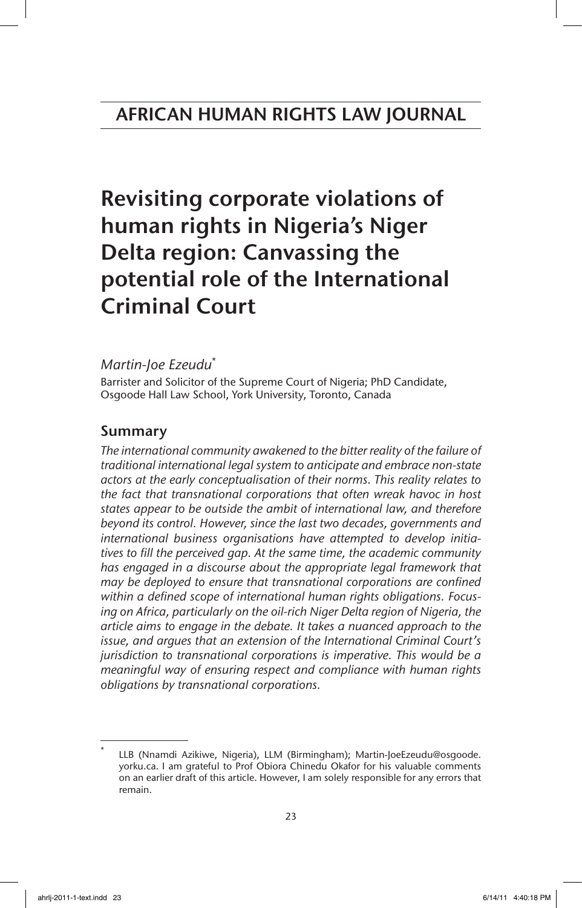# Revisiting corporate violations of human rights in Nigeria's Niger Delta region: Canvassing the potential role of the International Criminal Court

#### *Martin-Joe Ezeudu*\*

Barrister and Solicitor of the Supreme Court of Nigeria; PhD Candidate, Osgoode Hall Law School, York University, Toronto, Canada

## Summary

*The international community awakened to the bitter reality of the failure of traditional international legal system to anticipate and embrace non-state actors at the early conceptualisation of their norms. This reality relates to the fact that transnational corporations that often wreak havoc in host states appear to be outside the ambit of international law, and therefore beyond its control. However, since the last two decades, governments and international business organisations have attempted to develop initiatives to fill the perceived gap. At the same time, the academic community has engaged in a discourse about the appropriate legal framework that may be deployed to ensure that transnational corporations are confined within a defined scope of international human rights obligations. Focusing on Africa, particularly on the oil-rich Niger Delta region of Nigeria, the article aims to engage in the debate. It takes a nuanced approach to the issue, and argues that an extension of the International Criminal Court's jurisdiction to transnational corporations is imperative. This would be a meaningful way of ensuring respect and compliance with human rights obligations by transnational corporations.*

LLB (Nnamdi Azikiwe, Nigeria), LLM (Birmingham); Martin-JoeEzeudu@osgoode. yorku.ca. I am grateful to Prof Obiora Chinedu Okafor for his valuable comments on an earlier draft of this article. However, I am solely responsible for any errors that remain.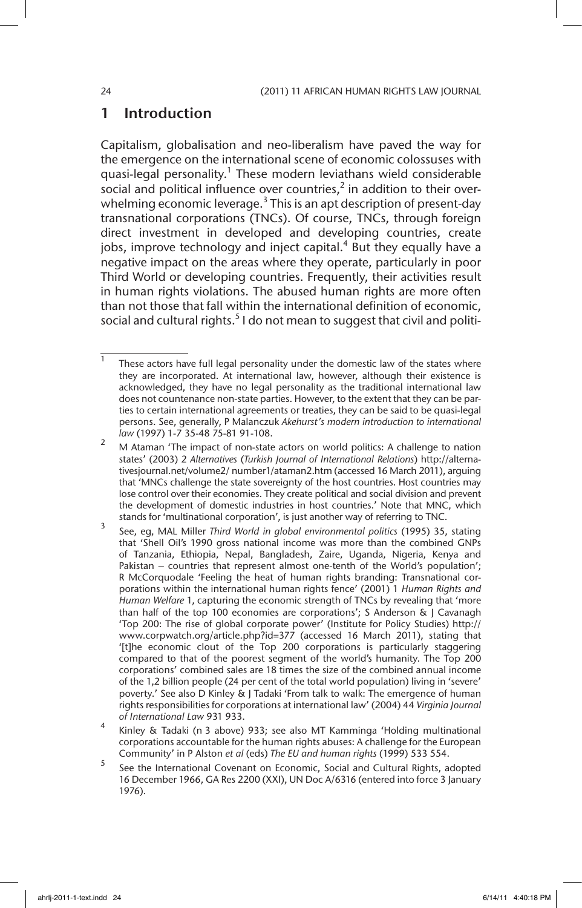## 1 Introduction

Capitalism, globalisation and neo-liberalism have paved the way for the emergence on the international scene of economic colossuses with quasi-legal personality.<sup>1</sup> These modern leviathans wield considerable social and political influence over countries,<sup>2</sup> in addition to their overwhelming economic leverage.<sup>3</sup> This is an apt description of present-day transnational corporations (TNCs). Of course, TNCs, through foreign direct investment in developed and developing countries, create jobs, improve technology and inject capital. $4$  But they equally have a negative impact on the areas where they operate, particularly in poor Third World or developing countries. Frequently, their activities result in human rights violations. The abused human rights are more often than not those that fall within the international definition of economic, social and cultural rights.<sup>5</sup> I do not mean to suggest that civil and politi-

<sup>5</sup> See the International Covenant on Economic, Social and Cultural Rights, adopted 16 December 1966, GA Res 2200 (XXI), UN Doc A/6316 (entered into force 3 January 1976).

 $1$  These actors have full legal personality under the domestic law of the states where they are incorporated. At international law, however, although their existence is acknowledged, they have no legal personality as the traditional international law does not countenance non-state parties. However, to the extent that they can be parties to certain international agreements or treaties, they can be said to be quasi-legal persons. See, generally, P Malanczuk *Akehurst's modern introduction to international law* (1997) 1-7 35-48 75-81 91-108.

<sup>&</sup>lt;sup>2</sup> M Ataman 'The impact of non-state actors on world politics: A challenge to nation states' (2003) 2 *Alternatives* (*Turkish Journal of International Relations*) http://alternativesjournal.net/volume2/ number1/ataman2.htm (accessed 16 March 2011), arguing that 'MNCs challenge the state sovereignty of the host countries. Host countries may lose control over their economies. They create political and social division and prevent the development of domestic industries in host countries.' Note that MNC, which stands for 'multinational corporation', is just another way of referring to TNC.

<sup>3</sup> See, eg, MAL Miller *Third World in global environmental politics* (1995) 35, stating that 'Shell Oil's 1990 gross national income was more than the combined GNPs of Tanzania, Ethiopia, Nepal, Bangladesh, Zaire, Uganda, Nigeria, Kenya and Pakistan – countries that represent almost one-tenth of the World's population'; R McCorquodale 'Feeling the heat of human rights branding: Transnational corporations within the international human rights fence' (2001) 1 *Human Rights and Human Welfare* 1, capturing the economic strength of TNCs by revealing that 'more than half of the top 100 economies are corporations'; S Anderson & J Cavanagh 'Top 200: The rise of global corporate power' (Institute for Policy Studies) http:// www.corpwatch.org/article.php?id=377 (accessed 16 March 2011), stating that '[t]he economic clout of the Top 200 corporations is particularly staggering compared to that of the poorest segment of the world's humanity. The Top 200 corporations' combined sales are 18 times the size of the combined annual income of the 1,2 billion people (24 per cent of the total world population) living in 'severe' poverty.' See also D Kinley & J Tadaki 'From talk to walk: The emergence of human rights responsibilities for corporations at international law' (2004) 44 *Virginia Journal of International Law* 931 933.

<sup>4</sup> Kinley & Tadaki (n 3 above) 933; see also MT Kamminga 'Holding multinational corporations accountable for the human rights abuses: A challenge for the European Community' in P Alston *et al* (eds) *The EU and human rights* (1999) 533 554.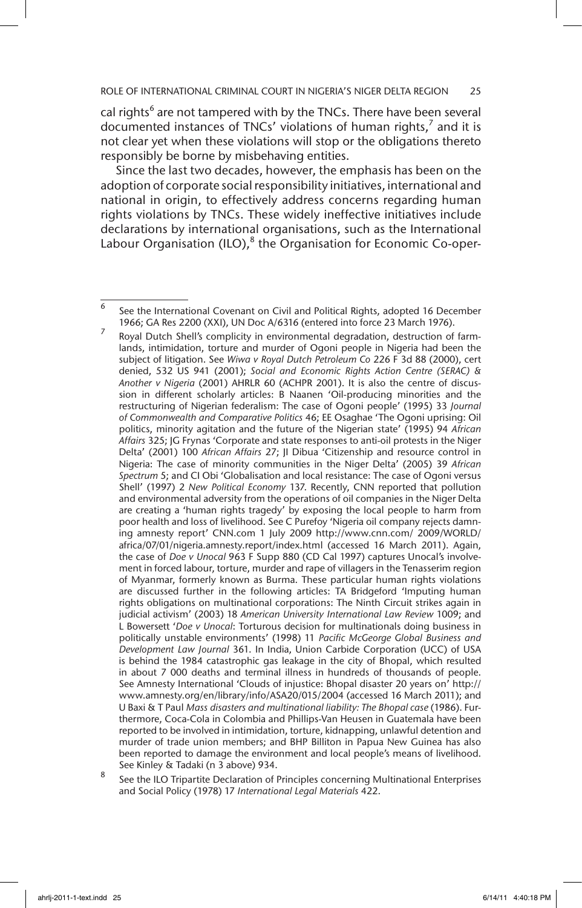cal rights<sup>6</sup> are not tampered with by the TNCs. There have been several documented instances of TNCs' violations of human rights, $^7$  and it is not clear yet when these violations will stop or the obligations thereto responsibly be borne by misbehaving entities.

 Since the last two decades, however, the emphasis has been on the adoption of corporate social responsibility initiatives, international and national in origin, to effectively address concerns regarding human rights violations by TNCs. These widely ineffective initiatives include declarations by international organisations, such as the International Labour Organisation (ILO), $^8$  the Organisation for Economic Co-oper-

Royal Dutch Shell's complicity in environmental degradation, destruction of farmlands, intimidation, torture and murder of Ogoni people in Nigeria had been the subject of litigation. See *Wiwa v Royal Dutch Petroleum Co* 226 F 3d 88 (2000), cert denied, 532 US 941 (2001); *Social and Economic Rights Action Centre (SERAC) & Another v Nigeria* (2001) AHRLR 60 (ACHPR 2001). It is also the centre of discussion in different scholarly articles: B Naanen 'Oil-producing minorities and the restructuring of Nigerian federalism: The case of Ogoni people' (1995) 33 *Journal of Commonwealth and Comparative Politics* 46; EE Osaghae 'The Ogoni uprising: Oil politics, minority agitation and the future of the Nigerian state' (1995) 94 *African Affairs* 325; JG Frynas 'Corporate and state responses to anti-oil protests in the Niger Delta' (2001) 100 *African Affairs* 27; JI Dibua 'Citizenship and resource control in Nigeria: The case of minority communities in the Niger Delta' (2005) 39 *African Spectrum* 5; and CI Obi 'Globalisation and local resistance: The case of Ogoni versus Shell' (1997) 2 *New Political Economy* 137. Recently, CNN reported that pollution and environmental adversity from the operations of oil companies in the Niger Delta are creating a 'human rights tragedy' by exposing the local people to harm from poor health and loss of livelihood. See C Purefoy 'Nigeria oil company rejects damning amnesty report' CNN.com 1 July 2009 http://www.cnn.com/ 2009/WORLD/ africa/07/01/nigeria.amnesty.report/index.html (accessed 16 March 2011). Again, the case of *Doe v Unocal* 963 F Supp 880 (CD Cal 1997) captures Unocal's involvement in forced labour, torture, murder and rape of villagers in the Tenasserim region of Myanmar, formerly known as Burma. These particular human rights violations are discussed further in the following articles: TA Bridgeford 'Imputing human rights obligations on multinational corporations: The Ninth Circuit strikes again in judicial activism' (2003) 18 *American University International Law Review* 1009; and L Bowersett '*Doe v Unocal*: Torturous decision for multinationals doing business in politically unstable environments' (1998) 11 *Pacific McGeorge Global Business and Development Law Journal* 361. In India, Union Carbide Corporation (UCC) of USA is behind the 1984 catastrophic gas leakage in the city of Bhopal, which resulted in about 7 000 deaths and terminal illness in hundreds of thousands of people. See Amnesty International 'Clouds of injustice: Bhopal disaster 20 years on' http:// www.amnesty.org/en/library/info/ASA20/015/2004 (accessed 16 March 2011); and U Baxi & T Paul *Mass disasters and multinational liability: The Bhopal case* (1986). Furthermore, Coca-Cola in Colombia and Phillips-Van Heusen in Guatemala have been reported to be involved in intimidation, torture, kidnapping, unlawful detention and murder of trade union members; and BHP Billiton in Papua New Guinea has also been reported to damage the environment and local people's means of livelihood. See Kinley & Tadaki (n 3 above) 934.

<sup>8</sup> See the ILO Tripartite Declaration of Principles concerning Multinational Enterprises and Social Policy (1978) 17 *International Legal Materials* 422.

<sup>6</sup> See the International Covenant on Civil and Political Rights, adopted 16 December 1966; GA Res 2200 (XXI), UN Doc A/6316 (entered into force 23 March 1976).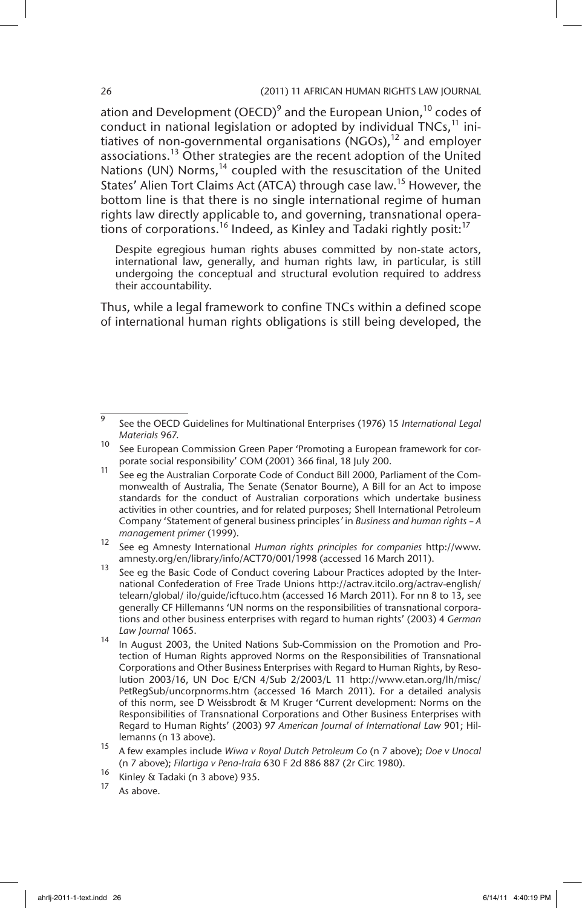ation and Development (OECD)<sup>9</sup> and the European Union,  $^{10}$  codes of conduct in national legislation or adopted by individual TNCs, $<sup>11</sup>$  ini-</sup> tiatives of non-governmental organisations (NGOs), $^{12}$  and employer associations.<sup>13</sup> Other strategies are the recent adoption of the United Nations (UN) Norms,<sup>14</sup> coupled with the resuscitation of the United States' Alien Tort Claims Act (ATCA) through case law.<sup>15</sup> However, the bottom line is that there is no single international regime of human rights law directly applicable to, and governing, transnational operations of corporations.<sup>16</sup> Indeed, as Kinley and Tadaki rightly posit:<sup>17</sup>

Despite egregious human rights abuses committed by non-state actors, international law, generally, and human rights law, in particular, is still undergoing the conceptual and structural evolution required to address their accountability.

Thus, while a legal framework to confine TNCs within a defined scope of international human rights obligations is still being developed, the

- <sup>16</sup> Kinley & Tadaki (n 3 above) 935.
- As above.

<sup>9</sup> See the OECD Guidelines for Multinational Enterprises (1976) 15 *International Legal Materials* 967.

<sup>&</sup>lt;sup>10</sup> See European Commission Green Paper 'Promoting a European framework for corporate social responsibility' COM (2001) 366 final, 18 July 200.

<sup>11</sup> See eg the Australian Corporate Code of Conduct Bill 2000, Parliament of the Commonwealth of Australia, The Senate (Senator Bourne), A Bill for an Act to impose standards for the conduct of Australian corporations which undertake business activities in other countries, and for related purposes; Shell International Petroleum Company 'Statement of general business principles*'* in *Business and human rights – A management primer* (1999).

<sup>12</sup> See eg Amnesty International *Human rights principles for companies* http://www. amnesty.org/en/library/info/ACT70/001/1998 (accessed 16 March 2011).

<sup>&</sup>lt;sup>13</sup> See eg the Basic Code of Conduct covering Labour Practices adopted by the International Confederation of Free Trade Unions http://actrav.itcilo.org/actrav-english/ telearn/global/ ilo/guide/icftuco.htm (accessed 16 March 2011). For nn 8 to 13, see generally CF Hillemanns 'UN norms on the responsibilities of transnational corporations and other business enterprises with regard to human rights' (2003) 4 *German Law Journal* 1065.

<sup>14</sup> In August 2003, the United Nations Sub-Commission on the Promotion and Protection of Human Rights approved Norms on the Responsibilities of Transnational Corporations and Other Business Enterprises with Regard to Human Rights, by Resolution 2003/16, UN Doc E/CN 4/Sub 2/2003/L 11 http://www.etan.org/lh/misc/ PetRegSub/uncorpnorms.htm (accessed 16 March 2011). For a detailed analysis of this norm, see D Weissbrodt & M Kruger 'Current development: Norms on the Responsibilities of Transnational Corporations and Other Business Enterprises with Regard to Human Rights' (2003) 97 *American Journal of International Law* 901; Hillemanns (n 13 above).

<sup>15</sup> A few examples include *Wiwa v Royal Dutch Petroleum Co* (n 7 above); *Doe v Unocal* (n 7 above); *Filartiga v Pena-Irala* 630 F 2d 886 887 (2r Circ 1980).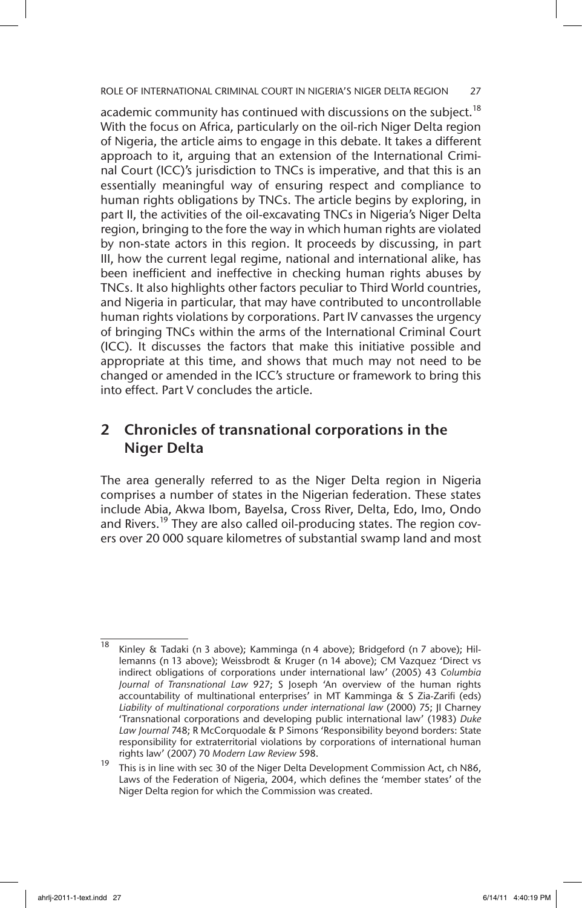ROLE OF INTERNATIONAL CRIMINAL COURT IN NIGERIA'S NIGER DELTA REGION 27

academic community has continued with discussions on the subiect.<sup>18</sup> With the focus on Africa, particularly on the oil-rich Niger Delta region of Nigeria, the article aims to engage in this debate. It takes a different approach to it, arguing that an extension of the International Criminal Court (ICC)'s jurisdiction to TNCs is imperative, and that this is an essentially meaningful way of ensuring respect and compliance to human rights obligations by TNCs. The article begins by exploring, in part II, the activities of the oil-excavating TNCs in Nigeria's Niger Delta region, bringing to the fore the way in which human rights are violated by non-state actors in this region. It proceeds by discussing, in part III, how the current legal regime, national and international alike, has been inefficient and ineffective in checking human rights abuses by TNCs. It also highlights other factors peculiar to Third World countries, and Nigeria in particular, that may have contributed to uncontrollable human rights violations by corporations. Part IV canvasses the urgency of bringing TNCs within the arms of the International Criminal Court (ICC). It discusses the factors that make this initiative possible and appropriate at this time, and shows that much may not need to be changed or amended in the ICC's structure or framework to bring this into effect. Part V concludes the article.

## 2 Chronicles of transnational corporations in the Niger Delta

The area generally referred to as the Niger Delta region in Nigeria comprises a number of states in the Nigerian federation. These states include Abia, Akwa Ibom, Bayelsa, Cross River, Delta, Edo, Imo, Ondo and Rivers.<sup>19</sup> They are also called oil-producing states. The region covers over 20 000 square kilometres of substantial swamp land and most

 $\overline{18}$  Kinley & Tadaki (n 3 above); Kamminga (n 4 above); Bridgeford (n 7 above); Hillemanns (n 13 above); Weissbrodt & Kruger (n 14 above); CM Vazquez 'Direct vs indirect obligations of corporations under international law' (2005) 43 *Columbia Journal of Transnational Law* 927; S Joseph 'An overview of the human rights accountability of multinational enterprises' in MT Kamminga & S Zia-Zarifi (eds) *Liability of multinational corporations under international law* (2000) 75; JI Charney 'Transnational corporations and developing public international law' (1983) *Duke Law Journal* 748; R McCorquodale & P Simons 'Responsibility beyond borders: State responsibility for extraterritorial violations by corporations of international human rights law' (2007) 70 *Modern Law Review* 598.

<sup>&</sup>lt;sup>19</sup> This is in line with sec 30 of the Niger Delta Development Commission Act, ch N86, Laws of the Federation of Nigeria, 2004, which defines the 'member states' of the Niger Delta region for which the Commission was created.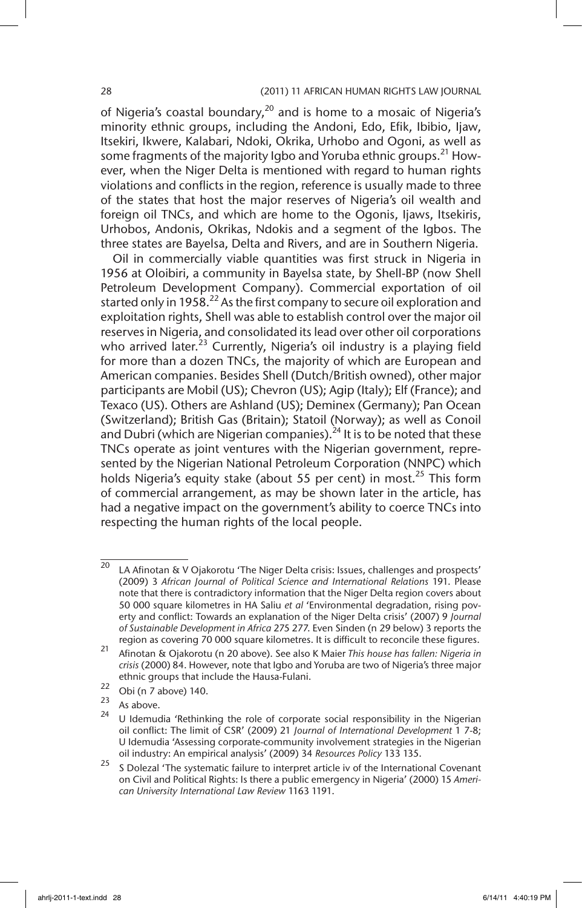of Nigeria's coastal boundary,<sup>20</sup> and is home to a mosaic of Nigeria's minority ethnic groups, including the Andoni, Edo, Efik, Ibibio, Ijaw, Itsekiri, Ikwere, Kalabari, Ndoki, Okrika, Urhobo and Ogoni, as well as some fragments of the majority Igbo and Yoruba ethnic groups.<sup>21</sup> However, when the Niger Delta is mentioned with regard to human rights violations and conflicts in the region, reference is usually made to three of the states that host the major reserves of Nigeria's oil wealth and foreign oil TNCs, and which are home to the Ogonis, Ijaws, Itsekiris, Urhobos, Andonis, Okrikas, Ndokis and a segment of the Igbos. The three states are Bayelsa, Delta and Rivers, and are in Southern Nigeria.

Oil in commercially viable quantities was first struck in Nigeria in 1956 at Oloibiri, a community in Bayelsa state, by Shell-BP (now Shell Petroleum Development Company). Commercial exportation of oil started only in 1958.<sup>22</sup> As the first company to secure oil exploration and exploitation rights, Shell was able to establish control over the major oil reserves in Nigeria, and consolidated its lead over other oil corporations who arrived later.<sup>23</sup> Currently, Nigeria's oil industry is a playing field for more than a dozen TNCs, the majority of which are European and American companies. Besides Shell (Dutch/British owned), other major participants are Mobil (US); Chevron (US); Agip (Italy); Elf (France); and Texaco (US). Others are Ashland (US); Deminex (Germany); Pan Ocean (Switzerland); British Gas (Britain); Statoil (Norway); as well as Conoil and Dubri (which are Nigerian companies).<sup>24</sup> It is to be noted that these TNCs operate as joint ventures with the Nigerian government, represented by the Nigerian National Petroleum Corporation (NNPC) which holds Nigeria's equity stake (about 55 per cent) in most.<sup>25</sup> This form of commercial arrangement, as may be shown later in the article, has had a negative impact on the government's ability to coerce TNCs into respecting the human rights of the local people.

- $\frac{22}{23}$  Obi (n 7 above) 140.
- $\frac{23}{24}$  As above.

 $20$  LA Afinotan & V Ojakorotu 'The Niger Delta crisis: Issues, challenges and prospects' (2009) 3 *African Journal of Political Science and International Relations* 191. Please note that there is contradictory information that the Niger Delta region covers about 50 000 square kilometres in HA Saliu *et al* 'Environmental degradation, rising poverty and conflict: Towards an explanation of the Niger Delta crisis' (2007) 9 *Journal of Sustainable Development in Africa* 275 277. Even Sinden (n 29 below) 3 reports the region as covering 70 000 square kilometres. It is difficult to reconcile these figures.

<sup>21</sup> Afinotan & Ojakorotu (n 20 above). See also K Maier *This house has fallen: Nigeria in crisis* (2000) 84. However, note that Igbo and Yoruba are two of Nigeria's three major ethnic groups that include the Hausa-Fulani.

U Idemudia 'Rethinking the role of corporate social responsibility in the Nigerian oil conflict: The limit of CSR' (2009) 21 *Journal of International Development* 1 7-8; U Idemudia 'Assessing corporate-community involvement strategies in the Nigerian oil industry: An empirical analysis' (2009) 34 *Resources Policy* 133 135.

<sup>&</sup>lt;sup>25</sup> S Dolezal 'The systematic failure to interpret article iv of the International Covenant on Civil and Political Rights: Is there a public emergency in Nigeria' (2000) 15 *American University International Law Review* 1163 1191.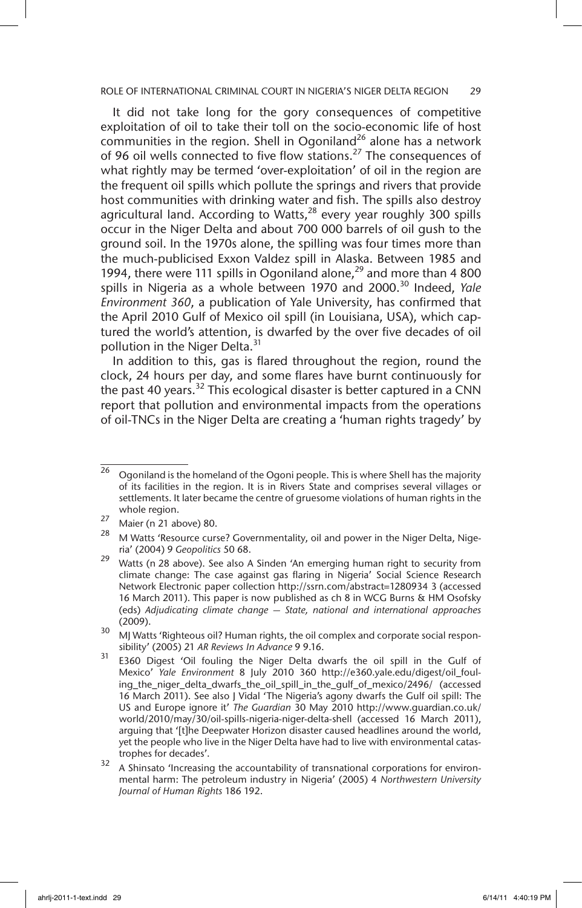It did not take long for the gory consequences of competitive exploitation of oil to take their toll on the socio-economic life of host communities in the region. Shell in Ogoniland<sup>26</sup> alone has a network of 96 oil wells connected to five flow stations.27 The consequences of what rightly may be termed 'over-exploitation' of oil in the region are the frequent oil spills which pollute the springs and rivers that provide host communities with drinking water and fish. The spills also destroy agricultural land. According to Watts, $28$  every year roughly 300 spills occur in the Niger Delta and about 700 000 barrels of oil gush to the ground soil. In the 1970s alone, the spilling was four times more than the much-publicised Exxon Valdez spill in Alaska. Between 1985 and 1994, there were 111 spills in Ogoniland alone,<sup>29</sup> and more than 4 800 spills in Nigeria as a whole between 1970 and 2000.<sup>30</sup> Indeed, *Yale Environment 360*, a publication of Yale University, has confirmed that the April 2010 Gulf of Mexico oil spill (in Louisiana, USA), which captured the world's attention, is dwarfed by the over five decades of oil pollution in the Niger Delta.<sup>31</sup>

In addition to this, gas is flared throughout the region, round the clock, 24 hours per day, and some flares have burnt continuously for the past 40 years.<sup>32</sup> This ecological disaster is better captured in a CNN report that pollution and environmental impacts from the operations of oil-TNCs in the Niger Delta are creating a 'human rights tragedy' by

 $\frac{26}{26}$  Ogoniland is the homeland of the Ogoni people. This is where Shell has the majority of its facilities in the region. It is in Rivers State and comprises several villages or settlements. It later became the centre of gruesome violations of human rights in the whole region.

 $\frac{27}{28}$  Maier (n 21 above) 80.

M Watts 'Resource curse? Governmentality, oil and power in the Niger Delta, Nigeria' (2004) 9 *Geopolitics* 50 68.

<sup>&</sup>lt;sup>29</sup> Watts (n 28 above). See also A Sinden 'An emerging human right to security from climate change: The case against gas flaring in Nigeria' Social Science Research Network Electronic paper collection http://ssrn.com/abstract=1280934 3 (accessed 16 March 2011). This paper is now published as ch 8 in WCG Burns & HM Osofsky (eds) *Adjudicating climate change — State, national and international approaches* (2009).

<sup>&</sup>lt;sup>30</sup> MJ Watts 'Righteous oil? Human rights, the oil complex and corporate social responsibility' (2005) 21 *AR Reviews In Advance* 9 9.16.

<sup>&</sup>lt;sup>31</sup> E360 Digest 'Oil fouling the Niger Delta dwarfs the oil spill in the Gulf of Mexico' *Yale Environment* 8 July 2010 360 http://e360.yale.edu/digest/oil\_fouling\_the\_niger\_delta\_dwarfs\_the\_oil\_spill\_in\_the\_gulf\_of\_mexico/2496/ (accessed 16 March 2011). See also J Vidal 'The Nigeria's agony dwarfs the Gulf oil spill: The US and Europe ignore it' *The Guardian* 30 May 2010 http://www.guardian.co.uk/ world/2010/may/30/oil-spills-nigeria-niger-delta-shell (accessed 16 March 2011), arguing that '[t]he Deepwater Horizon disaster caused headlines around the world, yet the people who live in the Niger Delta have had to live with environmental catastrophes for decades'.

 $32$  A Shinsato 'Increasing the accountability of transnational corporations for environmental harm: The petroleum industry in Nigeria' (2005) 4 *Northwestern University Journal of Human Rights* 186 192.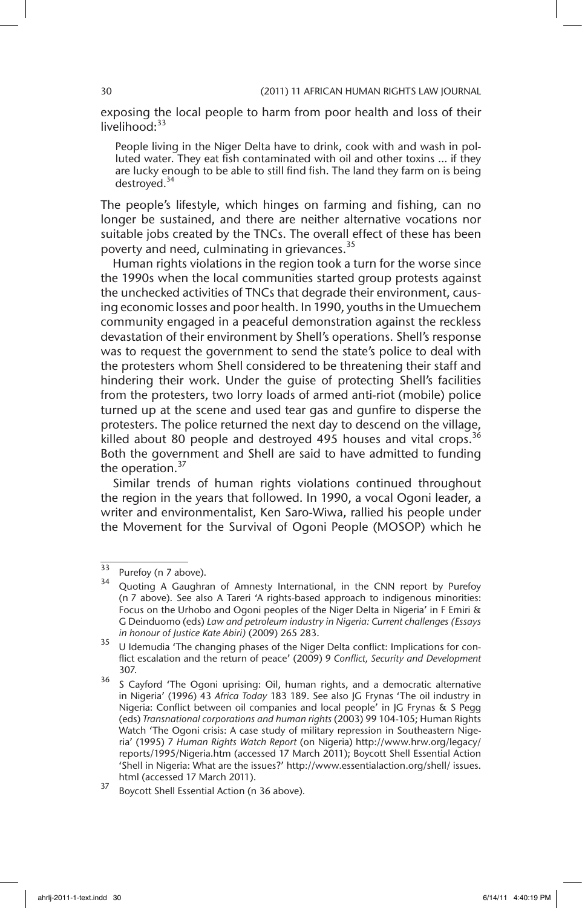exposing the local people to harm from poor health and loss of their livelihood<sup>33</sup>

People living in the Niger Delta have to drink, cook with and wash in polluted water. They eat fish contaminated with oil and other toxins … if they are lucky enough to be able to still find fish. The land they farm on is being destroyed.<sup>34</sup>

The people's lifestyle, which hinges on farming and fishing, can no longer be sustained, and there are neither alternative vocations nor suitable jobs created by the TNCs. The overall effect of these has been poverty and need, culminating in grievances.<sup>35</sup>

Human rights violations in the region took a turn for the worse since the 1990s when the local communities started group protests against the unchecked activities of TNCs that degrade their environment, causing economic losses and poor health. In 1990, youths in the Umuechem community engaged in a peaceful demonstration against the reckless devastation of their environment by Shell's operations. Shell's response was to request the government to send the state's police to deal with the protesters whom Shell considered to be threatening their staff and hindering their work. Under the guise of protecting Shell's facilities from the protesters, two lorry loads of armed anti-riot (mobile) police turned up at the scene and used tear gas and gunfire to disperse the protesters. The police returned the next day to descend on the village, killed about 80 people and destroyed 495 houses and vital crops.  $36$ Both the government and Shell are said to have admitted to funding the operation. $37$ 

Similar trends of human rights violations continued throughout the region in the years that followed. In 1990, a vocal Ogoni leader, a writer and environmentalist, Ken Saro-Wiwa, rallied his people under the Movement for the Survival of Ogoni People (MOSOP) which he

 $\frac{33}{34}$  Purefoy (n 7 above).

Quoting A Gaughran of Amnesty International, in the CNN report by Purefoy (n 7 above). See also A Tareri 'A rights-based approach to indigenous minorities: Focus on the Urhobo and Ogoni peoples of the Niger Delta in Nigeria' in F Emiri & G Deinduomo (eds) *Law and petroleum industry in Nigeria: Current challenges (Essays in honour of Justice Kate Abiri)* (2009) 265 283.

<sup>&</sup>lt;sup>35</sup> U Idemudia 'The changing phases of the Niger Delta conflict: Implications for conflict escalation and the return of peace' (2009) 9 *Conflict, Security and Development* 307.

<sup>&</sup>lt;sup>36</sup> S Cayford 'The Ogoni uprising: Oil, human rights, and a democratic alternative in Nigeria' (1996) 43 *Africa Today* 183 189. See also JG Frynas 'The oil industry in Nigeria: Conflict between oil companies and local people' in JG Frynas & S Pegg (eds) *Transnational corporations and human rights* (2003) 99 104-105; Human Rights Watch 'The Ogoni crisis: A case study of military repression in Southeastern Nigeria' (1995) 7 *Human Rights Watch Report* (on Nigeria) http://www.hrw.org/legacy/ reports/1995/Nigeria.htm (accessed 17 March 2011); Boycott Shell Essential Action 'Shell in Nigeria: What are the issues?' http://www.essentialaction.org/shell/ issues. html (accessed 17 March 2011).

<sup>37</sup> Boycott Shell Essential Action (n 36 above)*.*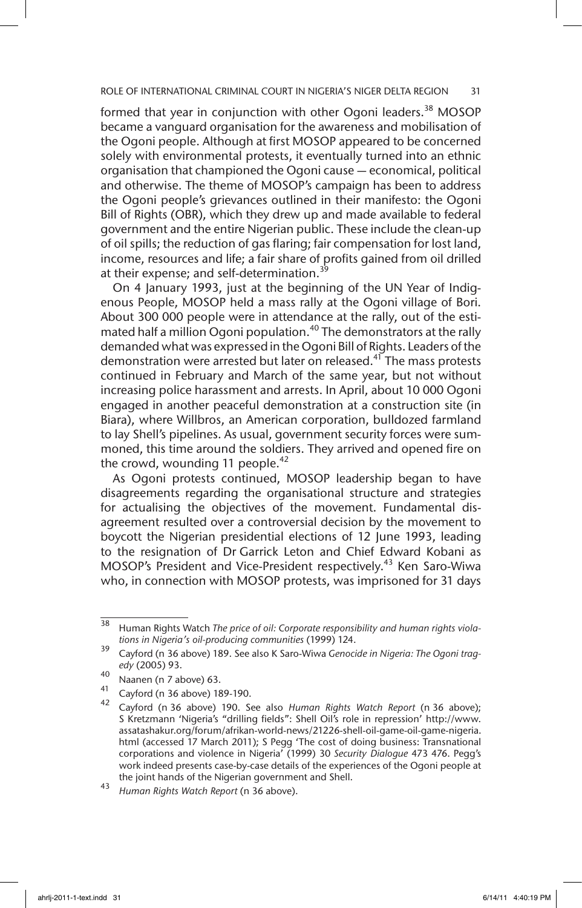formed that year in conjunction with other Ogoni leaders.<sup>38</sup> MOSOP became a vanguard organisation for the awareness and mobilisation of the Ogoni people. Although at first MOSOP appeared to be concerned solely with environmental protests, it eventually turned into an ethnic organisation that championed the Ogoni cause — economical, political and otherwise. The theme of MOSOP's campaign has been to address the Ogoni people's grievances outlined in their manifesto: the Ogoni Bill of Rights (OBR), which they drew up and made available to federal government and the entire Nigerian public. These include the clean-up of oil spills; the reduction of gas flaring; fair compensation for lost land, income, resources and life; a fair share of profits gained from oil drilled at their expense; and self-determination.<sup>39</sup>

On 4 January 1993, just at the beginning of the UN Year of Indigenous People, MOSOP held a mass rally at the Ogoni village of Bori. About 300 000 people were in attendance at the rally, out of the estimated half a million Ogoni population.<sup>40</sup> The demonstrators at the rally demanded what was expressed in the Ogoni Bill of Rights. Leaders of the demonstration were arrested but later on released.<sup>41</sup> The mass protests continued in February and March of the same year, but not without increasing police harassment and arrests. In April, about 10 000 Ogoni engaged in another peaceful demonstration at a construction site (in Biara), where Willbros, an American corporation, bulldozed farmland to lay Shell's pipelines. As usual, government security forces were summoned, this time around the soldiers. They arrived and opened fire on the crowd, wounding 11 people. $42$ 

As Ogoni protests continued, MOSOP leadership began to have disagreements regarding the organisational structure and strategies for actualising the objectives of the movement. Fundamental disagreement resulted over a controversial decision by the movement to boycott the Nigerian presidential elections of 12 June 1993, leading to the resignation of Dr Garrick Leton and Chief Edward Kobani as MOSOP's President and Vice-President respectively.<sup>43</sup> Ken Saro-Wiwa who, in connection with MOSOP protests, was imprisoned for 31 days

<sup>38</sup> Human Rights Watch *The price of oil: Corporate responsibility and human rights violations in Nigeria's oil-producing communities* (1999) 124.

<sup>39</sup> Cayford (n 36 above) 189. See also K Saro-Wiwa *Genocide in Nigeria: The Ogoni tragedy* (2005) 93.

 $^{40}$  Naanen (n 7 above) 63.

<sup>&</sup>lt;sup>41</sup> Cayford (n 36 above) 189-190.

<sup>42</sup> Cayford (n 36 above) 190. See also *Human Rights Watch Report* (n 36 above); S Kretzmann 'Nigeria's "drilling fields": Shell Oil's role in repression' http://www. assatashakur.org/forum/afrikan-world-news/21226-shell-oil-game-oil-game-nigeria. html (accessed 17 March 2011); S Pegg 'The cost of doing business: Transnational corporations and violence in Nigeria' (1999) 30 *Security Dialogue* 473 476. Pegg's work indeed presents case-by-case details of the experiences of the Ogoni people at the joint hands of the Nigerian government and Shell.

<sup>43</sup> *Human Rights Watch Report* (n 36 above).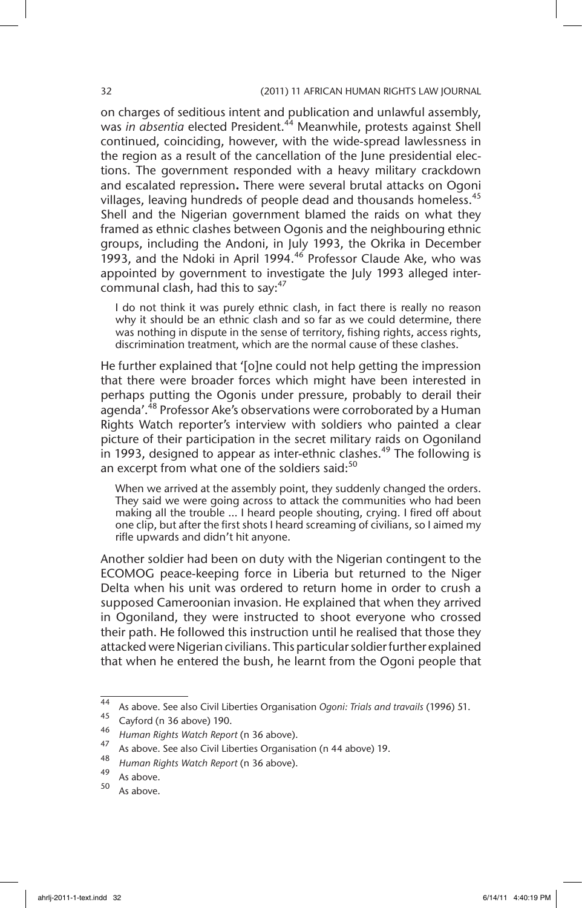on charges of seditious intent and publication and unlawful assembly, was *in absentia* elected President.<sup>44</sup> Meanwhile, protests against Shell continued, coinciding, however, with the wide-spread lawlessness in the region as a result of the cancellation of the June presidential elections. The government responded with a heavy military crackdown and escalated repression**.** There were several brutal attacks on Ogoni villages, leaving hundreds of people dead and thousands homeless.<sup>45</sup> Shell and the Nigerian government blamed the raids on what they framed as ethnic clashes between Ogonis and the neighbouring ethnic groups, including the Andoni, in July 1993, the Okrika in December 1993, and the Ndoki in April 1994.46 Professor Claude Ake, who was appointed by government to investigate the July 1993 alleged intercommunal clash, had this to say:<sup>47</sup>

I do not think it was purely ethnic clash, in fact there is really no reason why it should be an ethnic clash and so far as we could determine, there was nothing in dispute in the sense of territory, fishing rights, access rights, discrimination treatment, which are the normal cause of these clashes.

He further explained that '[o]ne could not help getting the impression that there were broader forces which might have been interested in perhaps putting the Ogonis under pressure, probably to derail their agenda<sup>'.48</sup> Professor Ake's observations were corroborated by a Human Rights Watch reporter's interview with soldiers who painted a clear picture of their participation in the secret military raids on Ogoniland in 1993, designed to appear as inter-ethnic clashes.<sup>49</sup> The following is an excerpt from what one of the soldiers said:<sup>50</sup>

When we arrived at the assembly point, they suddenly changed the orders. They said we were going across to attack the communities who had been making all the trouble … I heard people shouting, crying. I fired off about one clip, but after the first shots I heard screaming of civilians, so I aimed my rifle upwards and didn't hit anyone.

Another soldier had been on duty with the Nigerian contingent to the ECOMOG peace-keeping force in Liberia but returned to the Niger Delta when his unit was ordered to return home in order to crush a supposed Cameroonian invasion. He explained that when they arrived in Ogoniland, they were instructed to shoot everyone who crossed their path. He followed this instruction until he realised that those they attacked were Nigerian civilians. This particular soldier further explained that when he entered the bush, he learnt from the Ogoni people that

<sup>44</sup> As above. See also Civil Liberties Organisation *Ogoni: Trials and travails* (1996) 51.

 $^{45}$  Cayford (n 36 above) 190.

<sup>46</sup> *Human Rights Watch Report* (n 36 above).

 $^{47}$  As above. See also Civil Liberties Organisation (n 44 above) 19.

<sup>48</sup> *Human Rights Watch Report* (n 36 above).

 $^{49}$  As above.

As above.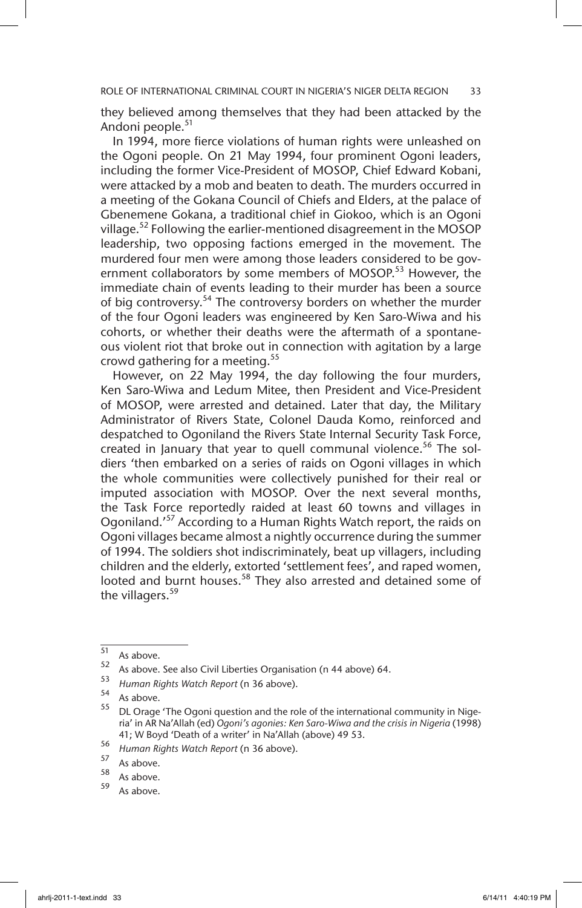ROLE OF INTERNATIONAL CRIMINAL COURT IN NIGERIA'S NIGER DELTA REGION 33

they believed among themselves that they had been attacked by the Andoni people.<sup>51</sup>

In 1994, more fierce violations of human rights were unleashed on the Ogoni people. On 21 May 1994, four prominent Ogoni leaders, including the former Vice-President of MOSOP, Chief Edward Kobani, were attacked by a mob and beaten to death. The murders occurred in a meeting of the Gokana Council of Chiefs and Elders, at the palace of Gbenemene Gokana, a traditional chief in Giokoo, which is an Ogoni village.<sup>52</sup> Following the earlier-mentioned disagreement in the MOSOP leadership, two opposing factions emerged in the movement. The murdered four men were among those leaders considered to be government collaborators by some members of MOSOP.<sup>53</sup> However, the immediate chain of events leading to their murder has been a source of big controversy.54 The controversy borders on whether the murder of the four Ogoni leaders was engineered by Ken Saro-Wiwa and his cohorts, or whether their deaths were the aftermath of a spontaneous violent riot that broke out in connection with agitation by a large crowd gathering for a meeting.<sup>55</sup>

However, on 22 May 1994, the day following the four murders, Ken Saro-Wiwa and Ledum Mitee, then President and Vice-President of MOSOP, were arrested and detained. Later that day, the Military Administrator of Rivers State, Colonel Dauda Komo, reinforced and despatched to Ogoniland the Rivers State Internal Security Task Force, created in January that year to quell communal violence.<sup>56</sup> The soldiers 'then embarked on a series of raids on Ogoni villages in which the whole communities were collectively punished for their real or imputed association with MOSOP. Over the next several months, the Task Force reportedly raided at least 60 towns and villages in Ogoniland.<sup>57</sup> According to a Human Rights Watch report, the raids on Ogoni villages became almost a nightly occurrence during the summer of 1994. The soldiers shot indiscriminately, beat up villagers, including children and the elderly, extorted 'settlement fees', and raped women, looted and burnt houses.<sup>58</sup> They also arrested and detained some of the villagers.<sup>59</sup>

As above.

 $\begin{array}{c} 51 \\ 52 \end{array}$  As above.

<sup>&</sup>lt;sup>52</sup> As above. See also Civil Liberties Organisation (n 44 above) 64.<br>53 Linuxus Rights Watch Banant (n 36 above).

<sup>53</sup> *Human Rights Watch Report* (n 36 above).

 $55$  As above.

<sup>55</sup> DL Orage 'The Ogoni question and the role of the international community in Nigeria' in AR Na'Allah (ed) *Ogoni's agonies: Ken Saro-Wiwa and the crisis in Nigeria* (1998) 41; W Boyd 'Death of a writer' in Na'Allah (above) 49 53.

<sup>56</sup> *Human Rights Watch Report* (n 36 above).

 $\frac{37}{58}$  As above.

 $\frac{58}{59}$  As above.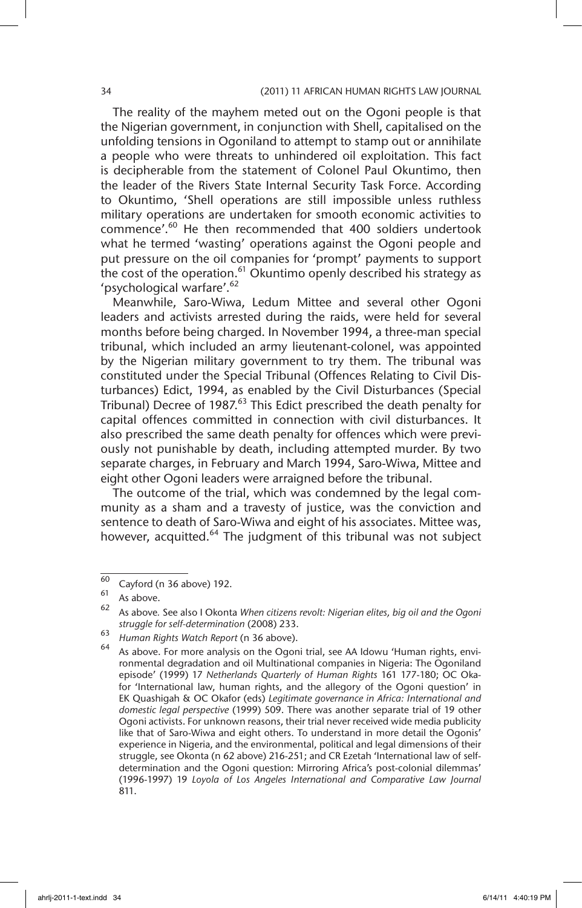The reality of the mayhem meted out on the Ogoni people is that the Nigerian government, in conjunction with Shell, capitalised on the unfolding tensions in Ogoniland to attempt to stamp out or annihilate a people who were threats to unhindered oil exploitation. This fact is decipherable from the statement of Colonel Paul Okuntimo, then the leader of the Rivers State Internal Security Task Force. According to Okuntimo, 'Shell operations are still impossible unless ruthless military operations are undertaken for smooth economic activities to commence'.60 He then recommended that 400 soldiers undertook what he termed 'wasting' operations against the Ogoni people and put pressure on the oil companies for 'prompt' payments to support the cost of the operation.<sup>61</sup> Okuntimo openly described his strategy as 'psychological warfare'.<sup>62</sup>

Meanwhile, Saro-Wiwa, Ledum Mittee and several other Ogoni leaders and activists arrested during the raids, were held for several months before being charged. In November 1994, a three-man special tribunal, which included an army lieutenant-colonel, was appointed by the Nigerian military government to try them. The tribunal was constituted under the Special Tribunal (Offences Relating to Civil Disturbances) Edict, 1994, as enabled by the Civil Disturbances (Special Tribunal) Decree of 1987.<sup>63</sup> This Edict prescribed the death penalty for capital offences committed in connection with civil disturbances. It also prescribed the same death penalty for offences which were previously not punishable by death, including attempted murder. By two separate charges, in February and March 1994, Saro-Wiwa, Mittee and eight other Ogoni leaders were arraigned before the tribunal.

The outcome of the trial, which was condemned by the legal community as a sham and a travesty of justice, was the conviction and sentence to death of Saro-Wiwa and eight of his associates. Mittee was, however, acquitted.<sup>64</sup> The judgment of this tribunal was not subject

 $\frac{60}{60}$  Cayford (n 36 above) 192.

 $\begin{bmatrix} 61 \\ 62 \end{bmatrix}$  As above.

<sup>62</sup> As above*.* See also I Okonta *When citizens revolt: Nigerian elites, big oil and the Ogoni struggle for self-determination* (2008) 233.

<sup>63</sup> *Human Rights Watch Report* (n 36 above).

As above. For more analysis on the Ogoni trial, see AA Idowu 'Human rights, environmental degradation and oil Multinational companies in Nigeria: The Ogoniland episode' (1999) 17 *Netherlands Quarterly of Human Rights* 161 177-180; OC Okafor 'International law, human rights, and the allegory of the Ogoni question' in EK Quashigah & OC Okafor (eds) *Legitimate governance in Africa: International and domestic legal perspective* (1999) 509. There was another separate trial of 19 other Ogoni activists. For unknown reasons, their trial never received wide media publicity like that of Saro-Wiwa and eight others. To understand in more detail the Ogonis' experience in Nigeria, and the environmental, political and legal dimensions of their struggle, see Okonta (n 62 above) 216-251; and CR Ezetah 'International law of selfdetermination and the Ogoni question: Mirroring Africa's post-colonial dilemmas' (1996-1997) 19 *Loyola of Los Angeles International and Comparative Law Journal* 811.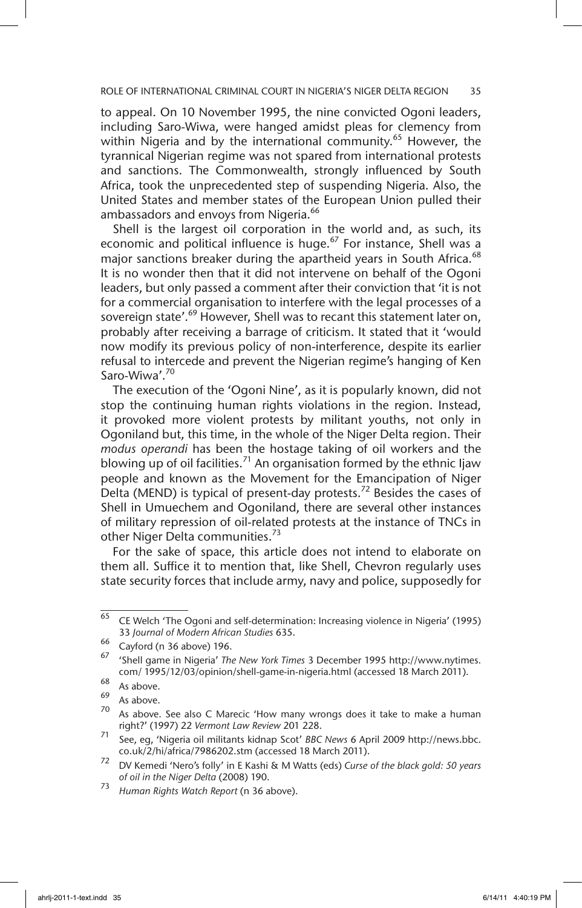to appeal. On 10 November 1995, the nine convicted Ogoni leaders, including Saro-Wiwa, were hanged amidst pleas for clemency from within Nigeria and by the international community.<sup>65</sup> However, the tyrannical Nigerian regime was not spared from international protests and sanctions. The Commonwealth, strongly influenced by South Africa, took the unprecedented step of suspending Nigeria. Also, the United States and member states of the European Union pulled their ambassadors and envoys from Nigeria.<sup>66</sup>

Shell is the largest oil corporation in the world and, as such, its economic and political influence is huge.<sup>67</sup> For instance, Shell was a major sanctions breaker during the apartheid years in South Africa.<sup>68</sup> It is no wonder then that it did not intervene on behalf of the Ogoni leaders, but only passed a comment after their conviction that 'it is not for a commercial organisation to interfere with the legal processes of a sovereign state'.<sup>69</sup> However, Shell was to recant this statement later on, probably after receiving a barrage of criticism. It stated that it 'would now modify its previous policy of non-interference, despite its earlier refusal to intercede and prevent the Nigerian regime's hanging of Ken Saro-Wiwa'.<sup>70</sup>

The execution of the 'Ogoni Nine', as it is popularly known, did not stop the continuing human rights violations in the region. Instead, it provoked more violent protests by militant youths, not only in Ogoniland but, this time, in the whole of the Niger Delta region. Their *modus operandi* has been the hostage taking of oil workers and the blowing up of oil facilities.<sup>71</sup> An organisation formed by the ethnic Ijaw people and known as the Movement for the Emancipation of Niger Delta (MEND) is typical of present-day protests.<sup>72</sup> Besides the cases of Shell in Umuechem and Ogoniland, there are several other instances of military repression of oil-related protests at the instance of TNCs in other Niger Delta communities.<sup>73</sup>

For the sake of space, this article does not intend to elaborate on them all. Suffice it to mention that, like Shell, Chevron regularly uses state security forces that include army, navy and police, supposedly for

 $\overline{65}$  CE Welch 'The Ogoni and self-determination: Increasing violence in Nigeria' (1995) 33 *Journal of Modern African Studies* 635.

 $^{66}$  Cayford (n 36 above) 196.

<sup>67</sup> 'Shell game in Nigeria' *The New York Times* 3 December 1995 http://www.nytimes. com/ 1995/12/03/opinion/shell-game-in-nigeria.html (accessed 18 March 2011).

 $\frac{68}{69}$  As above.

 $\frac{69}{70}$  As above.

As above. See also C Marecic 'How many wrongs does it take to make a human right?' (1997) 22 *Vermont Law Review* 201 228.

<sup>71</sup> See, eg, 'Nigeria oil militants kidnap Scot' *BBC News* 6 April 2009 http://news.bbc. co.uk/2/hi/africa/7986202.stm (accessed 18 March 2011).

<sup>72</sup> DV Kemedi 'Nero's folly' in E Kashi & M Watts (eds) *Curse of the black gold: 50 years of oil in the Niger Delta* (2008) 190.

<sup>73</sup> *Human Rights Watch Report* (n 36 above).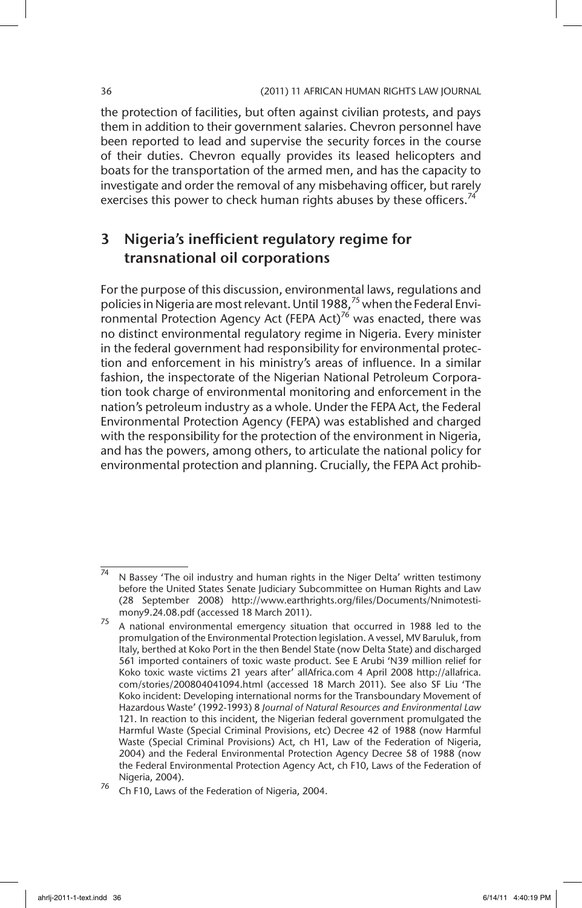the protection of facilities, but often against civilian protests, and pays them in addition to their government salaries. Chevron personnel have been reported to lead and supervise the security forces in the course of their duties. Chevron equally provides its leased helicopters and boats for the transportation of the armed men, and has the capacity to investigate and order the removal of any misbehaving officer, but rarely exercises this power to check human rights abuses by these officers.<sup>74</sup>

# 3 Nigeria's inefficient regulatory regime for transnational oil corporations

For the purpose of this discussion, environmental laws, regulations and policies in Nigeria are most relevant. Until 1988,<sup>75</sup> when the Federal Environmental Protection Agency Act (FEPA Act)<sup>76</sup> was enacted, there was no distinct environmental regulatory regime in Nigeria. Every minister in the federal government had responsibility for environmental protection and enforcement in his ministry's areas of influence. In a similar fashion, the inspectorate of the Nigerian National Petroleum Corporation took charge of environmental monitoring and enforcement in the nation's petroleum industry as a whole. Under the FEPA Act, the Federal Environmental Protection Agency (FEPA) was established and charged with the responsibility for the protection of the environment in Nigeria, and has the powers, among others, to articulate the national policy for environmental protection and planning. Crucially, the FEPA Act prohib-

 $\frac{74}{74}$  N Bassey 'The oil industry and human rights in the Niger Delta' written testimony before the United States Senate Judiciary Subcommittee on Human Rights and Law (28 September 2008) http://www.earthrights.org/files/Documents/Nnimotestimony9.24.08.pdf (accessed 18 March 2011).

<sup>75</sup> A national environmental emergency situation that occurred in 1988 led to the promulgation of the Environmental Protection legislation. A vessel, MV Baruluk, from Italy, berthed at Koko Port in the then Bendel State (now Delta State) and discharged 561 imported containers of toxic waste product. See E Arubi 'N39 million relief for Koko toxic waste victims 21 years after' allAfrica.com 4 April 2008 http://allafrica. com/stories/200804041094.html (accessed 18 March 2011). See also SF Liu 'The Koko incident: Developing international norms for the Transboundary Movement of Hazardous Waste' (1992-1993) 8 *Journal of Natural Resources and Environmental Law* 121. In reaction to this incident, the Nigerian federal government promulgated the Harmful Waste (Special Criminal Provisions, etc) Decree 42 of 1988 (now Harmful Waste (Special Criminal Provisions) Act, ch H1, Law of the Federation of Nigeria, 2004) and the Federal Environmental Protection Agency Decree 58 of 1988 (now the Federal Environmental Protection Agency Act, ch F10, Laws of the Federation of Nigeria, 2004).

<sup>76</sup> Ch F10, Laws of the Federation of Nigeria, 2004.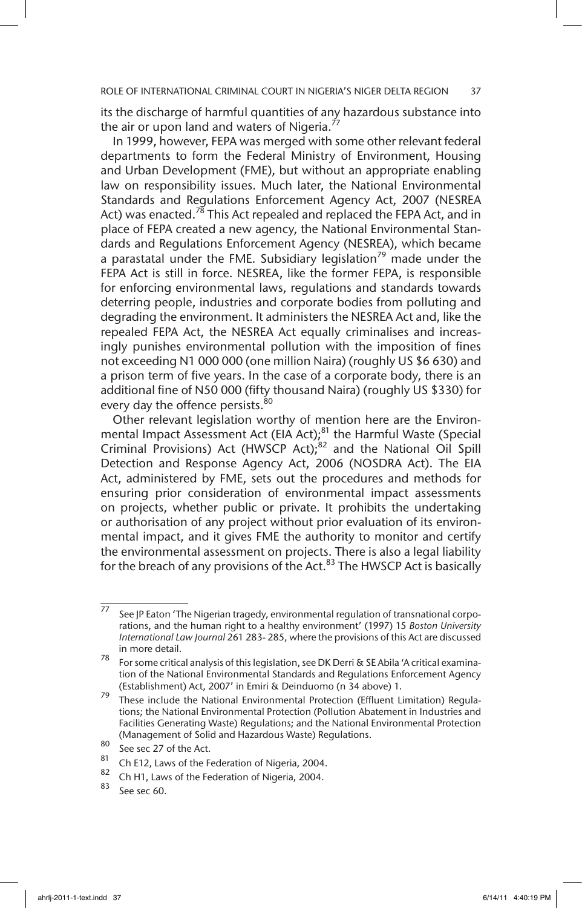its the discharge of harmful quantities of any hazardous substance into the air or upon land and waters of Nigeria.<sup>77</sup>

In 1999, however, FEPA was merged with some other relevant federal departments to form the Federal Ministry of Environment, Housing and Urban Development (FME), but without an appropriate enabling law on responsibility issues. Much later, the National Environmental Standards and Regulations Enforcement Agency Act, 2007 (NESREA Act) was enacted.<sup>78</sup> This Act repealed and replaced the FEPA Act, and in place of FEPA created a new agency, the National Environmental Standards and Regulations Enforcement Agency (NESREA), which became a parastatal under the FME. Subsidiary legislation<sup>79</sup> made under the FEPA Act is still in force. NESREA, like the former FEPA, is responsible for enforcing environmental laws, regulations and standards towards deterring people, industries and corporate bodies from polluting and degrading the environment. It administers the NESREA Act and, like the repealed FEPA Act, the NESREA Act equally criminalises and increasingly punishes environmental pollution with the imposition of fines not exceeding N1 000 000 (one million Naira) (roughly US \$6 630) and a prison term of five years. In the case of a corporate body, there is an additional fine of N50 000 (fifty thousand Naira) (roughly US \$330) for every day the offence persists.<sup>80</sup>

Other relevant legislation worthy of mention here are the Environmental Impact Assessment Act (EIA Act);<sup>81</sup> the Harmful Waste (Special Criminal Provisions) Act (HWSCP Act); $^{82}$  and the National Oil Spill Detection and Response Agency Act, 2006 (NOSDRA Act). The EIA Act, administered by FME, sets out the procedures and methods for ensuring prior consideration of environmental impact assessments on projects, whether public or private. It prohibits the undertaking or authorisation of any project without prior evaluation of its environmental impact, and it gives FME the authority to monitor and certify the environmental assessment on projects. There is also a legal liability for the breach of any provisions of the  $Act.^{83}$  The HWSCP Act is basically

 $\frac{77}{75}$  See JP Eaton 'The Nigerian tragedy, environmental regulation of transnational corporations, and the human right to a healthy environment' (1997) 15 *Boston University International Law Journal* 261 283- 285, where the provisions of this Act are discussed in more detail.

<sup>78</sup> For some critical analysis of this legislation, see DK Derri & SE Abila 'A critical examination of the National Environmental Standards and Regulations Enforcement Agency (Establishment) Act, 2007' in Emiri & Deinduomo (n 34 above) 1.

<sup>79</sup> These include the National Environmental Protection (Effluent Limitation) Regulations; the National Environmental Protection (Pollution Abatement in Industries and Facilities Generating Waste) Regulations; and the National Environmental Protection (Management of Solid and Hazardous Waste) Regulations.

 $\frac{80}{81}$  See sec 27 of the Act.

 $\frac{81}{2}$  Ch E12, Laws of the Federation of Nigeria, 2004.

 $\frac{82}{10}$  Ch H1, Laws of the Federation of Nigeria, 2004.

See sec 60.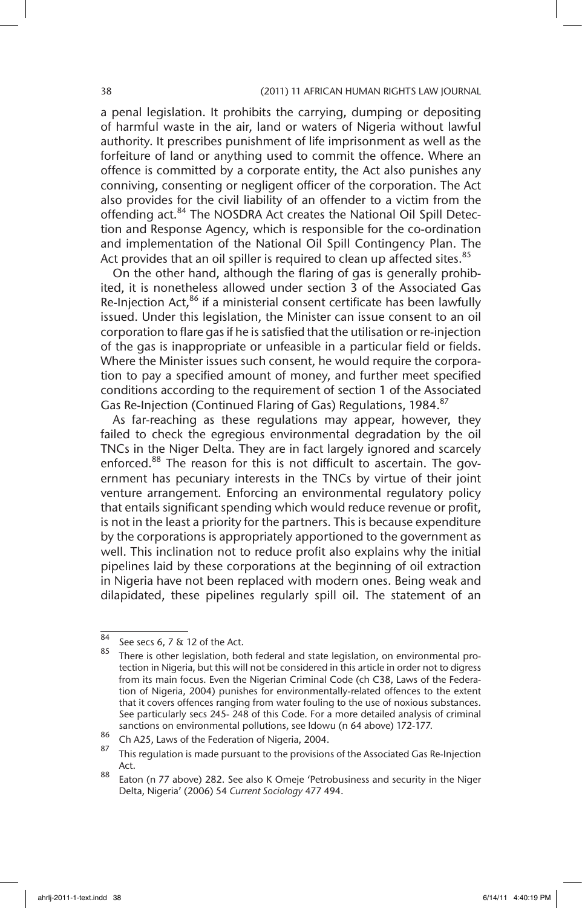a penal legislation. It prohibits the carrying, dumping or depositing of harmful waste in the air, land or waters of Nigeria without lawful authority. It prescribes punishment of life imprisonment as well as the forfeiture of land or anything used to commit the offence. Where an offence is committed by a corporate entity, the Act also punishes any conniving, consenting or negligent officer of the corporation. The Act also provides for the civil liability of an offender to a victim from the offending act.<sup>84</sup> The NOSDRA Act creates the National Oil Spill Detection and Response Agency, which is responsible for the co-ordination and implementation of the National Oil Spill Contingency Plan. The Act provides that an oil spiller is required to clean up affected sites.<sup>85</sup>

On the other hand, although the flaring of gas is generally prohibited, it is nonetheless allowed under section 3 of the Associated Gas Re-Injection Act, $^{86}$  if a ministerial consent certificate has been lawfully issued. Under this legislation, the Minister can issue consent to an oil corporation to flare gas if he is satisfied that the utilisation or re-injection of the gas is inappropriate or unfeasible in a particular field or fields. Where the Minister issues such consent, he would require the corporation to pay a specified amount of money, and further meet specified conditions according to the requirement of section 1 of the Associated Gas Re-Injection (Continued Flaring of Gas) Regulations, 1984.<sup>87</sup>

As far-reaching as these regulations may appear, however, they failed to check the egregious environmental degradation by the oil TNCs in the Niger Delta. They are in fact largely ignored and scarcely enforced.<sup>88</sup> The reason for this is not difficult to ascertain. The government has pecuniary interests in the TNCs by virtue of their joint venture arrangement. Enforcing an environmental regulatory policy that entails significant spending which would reduce revenue or profit, is not in the least a priority for the partners. This is because expenditure by the corporations is appropriately apportioned to the government as well. This inclination not to reduce profit also explains why the initial pipelines laid by these corporations at the beginning of oil extraction in Nigeria have not been replaced with modern ones. Being weak and dilapidated, these pipelines regularly spill oil. The statement of an

<sup>84</sup> See secs 6, 7 & 12 of the Act.

There is other legislation, both federal and state legislation, on environmental protection in Nigeria, but this will not be considered in this article in order not to digress from its main focus. Even the Nigerian Criminal Code (ch C38, Laws of the Federation of Nigeria, 2004) punishes for environmentally-related offences to the extent that it covers offences ranging from water fouling to the use of noxious substances. See particularly secs 245- 248 of this Code. For a more detailed analysis of criminal sanctions on environmental pollutions, see Idowu (n 64 above) 172-177.

 $^{86}$  Ch A25, Laws of the Federation of Nigeria, 2004.

This regulation is made pursuant to the provisions of the Associated Gas Re-Injection Act.

<sup>88</sup> Eaton (n 77 above) 282. See also K Omeje 'Petrobusiness and security in the Niger Delta, Nigeria' (2006) 54 *Current Sociology* 477 494.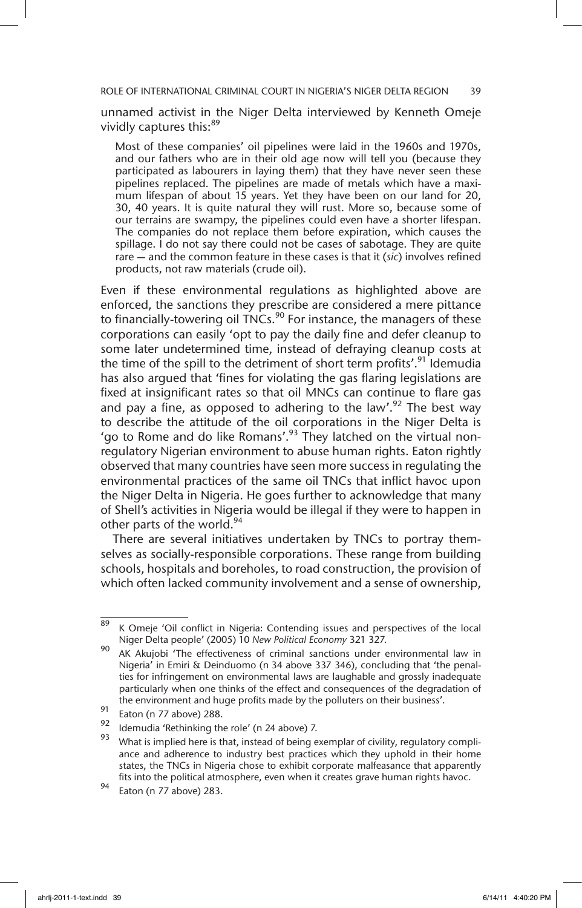ROLE OF INTERNATIONAL CRIMINAL COURT IN NIGERIA'S NIGER DELTA REGION 39

unnamed activist in the Niger Delta interviewed by Kenneth Omeje vividly captures this:<sup>89</sup>

Most of these companies' oil pipelines were laid in the 1960s and 1970s, and our fathers who are in their old age now will tell you (because they participated as labourers in laying them) that they have never seen these pipelines replaced. The pipelines are made of metals which have a maximum lifespan of about 15 years. Yet they have been on our land for 20, 30, 40 years. It is quite natural they will rust. More so, because some of our terrains are swampy, the pipelines could even have a shorter lifespan. The companies do not replace them before expiration, which causes the spillage. I do not say there could not be cases of sabotage. They are quite rare — and the common feature in these cases is that it (*sic*) involves refined products, not raw materials (crude oil).

Even if these environmental regulations as highlighted above are enforced, the sanctions they prescribe are considered a mere pittance to financially-towering oil  $\overline{\text{INCs}}$ .<sup>90</sup> For instance, the managers of these corporations can easily 'opt to pay the daily fine and defer cleanup to some later undetermined time, instead of defraying cleanup costs at the time of the spill to the detriment of short term profits'.<sup>91</sup> Idemudia has also argued that 'fines for violating the gas flaring legislations are fixed at insignificant rates so that oil MNCs can continue to flare gas and pay a fine, as opposed to adhering to the law'.<sup>92</sup> The best way to describe the attitude of the oil corporations in the Niger Delta is 'go to Rome and do like Romans'.<sup>93</sup> They latched on the virtual nonregulatory Nigerian environment to abuse human rights. Eaton rightly observed that many countries have seen more success in regulating the environmental practices of the same oil TNCs that inflict havoc upon the Niger Delta in Nigeria. He goes further to acknowledge that many of Shell's activities in Nigeria would be illegal if they were to happen in other parts of the world.<sup>94</sup>

There are several initiatives undertaken by TNCs to portray themselves as socially-responsible corporations. These range from building schools, hospitals and boreholes, to road construction, the provision of which often lacked community involvement and a sense of ownership,

 $\frac{89}{89}$  K Omeje 'Oil conflict in Nigeria: Contending issues and perspectives of the local Niger Delta people' (2005) 10 *New Political Economy* 321 327.

<sup>90</sup> AK Akujobi 'The effectiveness of criminal sanctions under environmental law in Nigeria' in Emiri & Deinduomo (n 34 above 337 346), concluding that 'the penalties for infringement on environmental laws are laughable and grossly inadequate particularly when one thinks of the effect and consequences of the degradation of the environment and huge profits made by the polluters on their business'.

 $^{91}$  Eaton (n 77 above) 288.

<sup>&</sup>lt;sup>92</sup> Idemudia 'Rethinking the role' (n 24 above) 7.<br><sup>93</sup> Mihat is implied bere is that, instead of being a

What is implied here is that, instead of being exemplar of civility, regulatory compliance and adherence to industry best practices which they uphold in their home states, the TNCs in Nigeria chose to exhibit corporate malfeasance that apparently fits into the political atmosphere, even when it creates grave human rights havoc.

<sup>94</sup> Eaton (n 77 above) 283.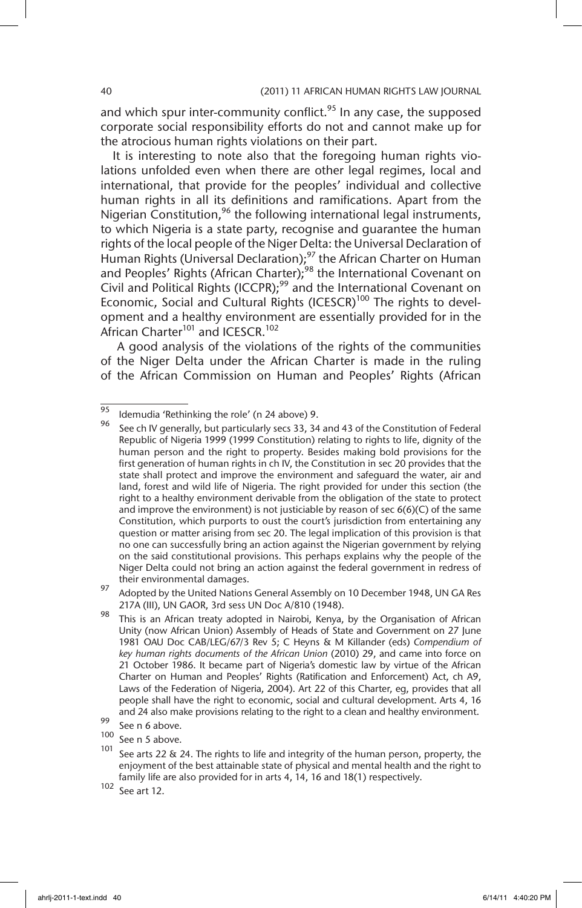and which spur inter-community conflict.<sup>95</sup> In any case, the supposed corporate social responsibility efforts do not and cannot make up for the atrocious human rights violations on their part.

It is interesting to note also that the foregoing human rights violations unfolded even when there are other legal regimes, local and international, that provide for the peoples' individual and collective human rights in all its definitions and ramifications. Apart from the Nigerian Constitution,<sup>96</sup> the following international legal instruments, to which Nigeria is a state party, recognise and guarantee the human rights of the local people of the Niger Delta: the Universal Declaration of Human Rights (Universal Declaration);<sup>97</sup> the African Charter on Human and Peoples' Rights (African Charter);<sup>98</sup> the International Covenant on Civil and Political Rights (ICCPR);<sup>99</sup> and the International Covenant on Economic, Social and Cultural Rights (ICESCR)<sup>100</sup> The rights to development and a healthy environment are essentially provided for in the African Charter<sup>101</sup> and ICESCR.<sup>102</sup>

 A good analysis of the violations of the rights of the communities of the Niger Delta under the African Charter is made in the ruling of the African Commission on Human and Peoples' Rights (African

 $\frac{100}{101}$  See n 5 above.

 $\frac{95}{95}$  Idemudia 'Rethinking the role' (n 24 above) 9.

See ch IV generally, but particularly secs 33, 34 and 43 of the Constitution of Federal Republic of Nigeria 1999 (1999 Constitution) relating to rights to life, dignity of the human person and the right to property. Besides making bold provisions for the first generation of human rights in ch IV, the Constitution in sec 20 provides that the state shall protect and improve the environment and safeguard the water, air and land, forest and wild life of Nigeria. The right provided for under this section (the right to a healthy environment derivable from the obligation of the state to protect and improve the environment) is not justiciable by reason of sec 6(6)(C) of the same Constitution, which purports to oust the court's jurisdiction from entertaining any question or matter arising from sec 20. The legal implication of this provision is that no one can successfully bring an action against the Nigerian government by relying on the said constitutional provisions. This perhaps explains why the people of the Niger Delta could not bring an action against the federal government in redress of their environmental damages.

<sup>97</sup> Adopted by the United Nations General Assembly on 10 December 1948, UN GA Res 217A (III), UN GAOR, 3rd sess UN Doc A/810 (1948).

<sup>&</sup>lt;sup>98</sup> This is an African treaty adopted in Nairobi, Kenya, by the Organisation of African Unity (now African Union) Assembly of Heads of State and Government on 27 June 1981 OAU Doc CAB/LEG/67/3 Rev 5; C Heyns & M Killander (eds) *Compendium of key human rights documents of the African Union* (2010) 29, and came into force on 21 October 1986. It became part of Nigeria's domestic law by virtue of the African Charter on Human and Peoples' Rights (Ratification and Enforcement) Act, ch A9, Laws of the Federation of Nigeria, 2004). Art 22 of this Charter, eg, provides that all people shall have the right to economic, social and cultural development. Arts 4, 16 and 24 also make provisions relating to the right to a clean and healthy environment.

 $\frac{99}{100}$  See n 6 above.

See arts 22  $\&$  24. The rights to life and integrity of the human person, property, the enjoyment of the best attainable state of physical and mental health and the right to family life are also provided for in arts 4, 14, 16 and 18(1) respectively.

 $102$  See art 12.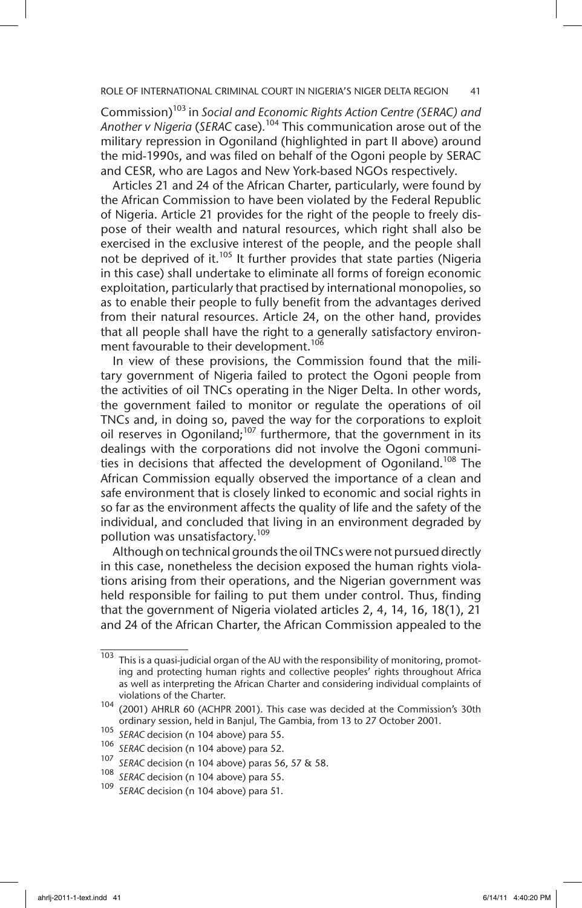Commission)103 in *Social and Economic Rights Action Centre (SERAC) and Another v Nigeria* (*SERAC* case)*.* 104 This communication arose out of the military repression in Ogoniland (highlighted in part II above) around the mid-1990s, and was filed on behalf of the Ogoni people by SERAC and CESR, who are Lagos and New York-based NGOs respectively.

Articles 21 and 24 of the African Charter, particularly, were found by the African Commission to have been violated by the Federal Republic of Nigeria. Article 21 provides for the right of the people to freely dispose of their wealth and natural resources, which right shall also be exercised in the exclusive interest of the people, and the people shall not be deprived of it.<sup>105</sup> It further provides that state parties (Nigeria in this case) shall undertake to eliminate all forms of foreign economic exploitation, particularly that practised by international monopolies, so as to enable their people to fully benefit from the advantages derived from their natural resources. Article 24, on the other hand, provides that all people shall have the right to a generally satisfactory environment favourable to their development.<sup>106</sup>

In view of these provisions, the Commission found that the military government of Nigeria failed to protect the Ogoni people from the activities of oil TNCs operating in the Niger Delta. In other words, the government failed to monitor or regulate the operations of oil TNCs and, in doing so, paved the way for the corporations to exploit oil reserves in Ogoniland; $107$  furthermore, that the government in its dealings with the corporations did not involve the Ogoni communities in decisions that affected the development of Ogoniland.<sup>108</sup> The African Commission equally observed the importance of a clean and safe environment that is closely linked to economic and social rights in so far as the environment affects the quality of life and the safety of the individual, and concluded that living in an environment degraded by pollution was unsatisfactory.<sup>109</sup>

Although on technical grounds the oil TNCs were not pursued directly in this case, nonetheless the decision exposed the human rights violations arising from their operations, and the Nigerian government was held responsible for failing to put them under control. Thus, finding that the government of Nigeria violated articles 2, 4, 14, 16, 18(1), 21 and 24 of the African Charter, the African Commission appealed to the

 $103$  This is a quasi-judicial organ of the AU with the responsibility of monitoring, promoting and protecting human rights and collective peoples' rights throughout Africa as well as interpreting the African Charter and considering individual complaints of violations of the Charter.

<sup>104</sup> (2001) AHRLR 60 (ACHPR 2001). This case was decided at the Commission's 30th ordinary session, held in Banjul, The Gambia, from 13 to 27 October 2001.

<sup>105</sup> *SERAC* decision (n 104 above) para 55.

<sup>&</sup>lt;sup>106</sup> *SERAC* decision (n 104 above) para 52.<br><sup>107</sup> *SERAC* decision (n 104 above) para 56

<sup>107</sup> *SERAC* decision (n 104 above) paras 56, 57 & 58.

<sup>&</sup>lt;sup>108</sup> *SERAC* decision (n 104 above) para 55.<br><sup>109</sup> SERAC decision (n 104 above) para 51.

SERAC decision (n 104 above) para 51.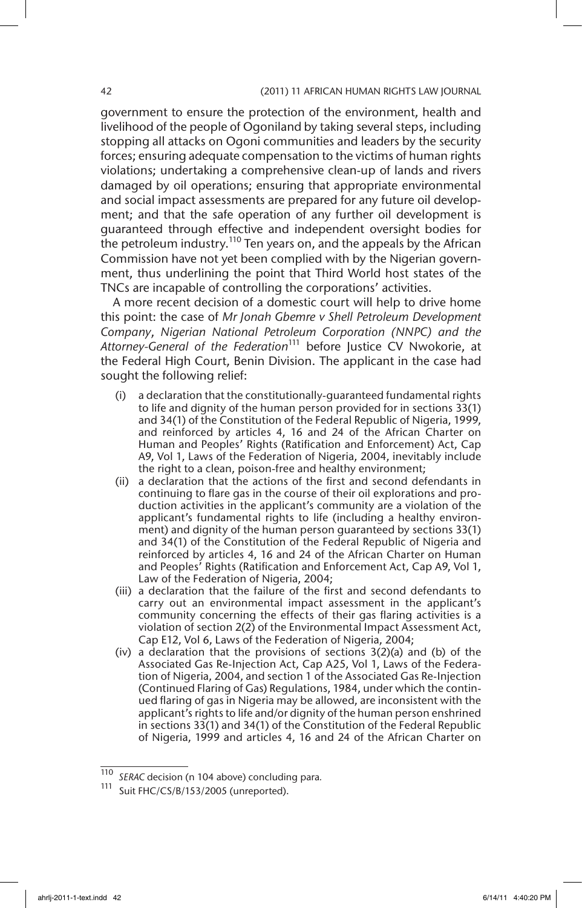government to ensure the protection of the environment, health and livelihood of the people of Ogoniland by taking several steps, including stopping all attacks on Ogoni communities and leaders by the security forces; ensuring adequate compensation to the victims of human rights violations; undertaking a comprehensive clean-up of lands and rivers damaged by oil operations; ensuring that appropriate environmental and social impact assessments are prepared for any future oil development; and that the safe operation of any further oil development is guaranteed through effective and independent oversight bodies for the petroleum industry.<sup>110</sup> Ten years on, and the appeals by the African Commission have not yet been complied with by the Nigerian government, thus underlining the point that Third World host states of the TNCs are incapable of controlling the corporations' activities.

A more recent decision of a domestic court will help to drive home this point: the case of *Mr Jonah Gbemre v Shell Petroleum Development Company*, *Nigerian National Petroleum Corporation (NNPC) and the*  Attorney-General of the Federation<sup>111</sup> before Justice CV Nwokorie, at the Federal High Court, Benin Division. The applicant in the case had sought the following relief:

- (i) a declaration that the constitutionally-guaranteed fundamental rights to life and dignity of the human person provided for in sections 33(1) and 34(1) of the Constitution of the Federal Republic of Nigeria, 1999, and reinforced by articles 4, 16 and 24 of the African Charter on Human and Peoples' Rights (Ratification and Enforcement) Act, Cap A9, Vol 1, Laws of the Federation of Nigeria, 2004, inevitably include the right to a clean, poison-free and healthy environment;
- (ii) a declaration that the actions of the first and second defendants in continuing to flare gas in the course of their oil explorations and production activities in the applicant's community are a violation of the applicant's fundamental rights to life (including a healthy environment) and dignity of the human person guaranteed by sections 33(1) and 34(1) of the Constitution of the Federal Republic of Nigeria and reinforced by articles 4, 16 and 24 of the African Charter on Human and Peoples' Rights (Ratification and Enforcement Act, Cap A9, Vol 1, Law of the Federation of Nigeria, 2004;
- (iii) a declaration that the failure of the first and second defendants to carry out an environmental impact assessment in the applicant's community concerning the effects of their gas flaring activities is a violation of section 2(2) of the Environmental Impact Assessment Act, Cap E12, Vol 6, Laws of the Federation of Nigeria, 2004;
- (iv) a declaration that the provisions of sections 3(2)(a) and (b) of the Associated Gas Re-Injection Act, Cap A25, Vol 1, Laws of the Federation of Nigeria, 2004, and section 1 of the Associated Gas Re-Injection (Continued Flaring of Gas) Regulations, 1984, under which the continued flaring of gas in Nigeria may be allowed, are inconsistent with the applicant's rights to life and/or dignity of the human person enshrined in sections 33(1) and 34(1) of the Constitution of the Federal Republic of Nigeria, 1999 and articles 4, 16 and 24 of the African Charter on

<sup>110</sup> *SERAC* decision (n 104 above) concluding para*.* 

<sup>111</sup> Suit FHC/CS/B/153/2005 (unreported).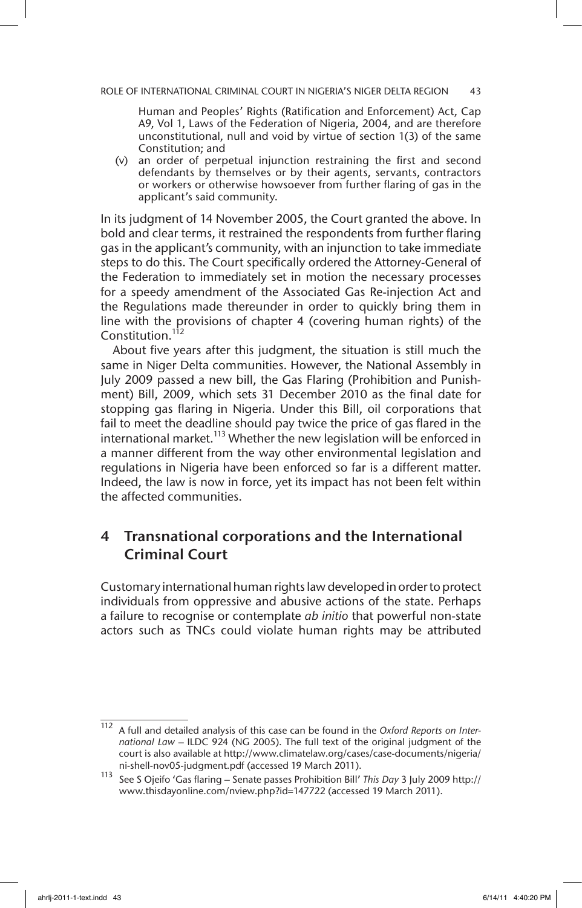Human and Peoples' Rights (Ratification and Enforcement) Act, Cap A9, Vol 1, Laws of the Federation of Nigeria, 2004, and are therefore unconstitutional, null and void by virtue of section 1(3) of the same Constitution; and

(v) an order of perpetual injunction restraining the first and second defendants by themselves or by their agents, servants, contractors or workers or otherwise howsoever from further flaring of gas in the applicant's said community.

In its judgment of 14 November 2005, the Court granted the above. In bold and clear terms, it restrained the respondents from further flaring gas in the applicant's community, with an injunction to take immediate steps to do this. The Court specifically ordered the Attorney-General of the Federation to immediately set in motion the necessary processes for a speedy amendment of the Associated Gas Re-injection Act and the Regulations made thereunder in order to quickly bring them in line with the provisions of chapter 4 (covering human rights) of the Constitution.<sup>112</sup>

About five years after this judgment, the situation is still much the same in Niger Delta communities. However, the National Assembly in July 2009 passed a new bill, the Gas Flaring (Prohibition and Punishment) Bill, 2009, which sets 31 December 2010 as the final date for stopping gas flaring in Nigeria. Under this Bill, oil corporations that fail to meet the deadline should pay twice the price of gas flared in the international market.<sup>113</sup> Whether the new legislation will be enforced in a manner different from the way other environmental legislation and regulations in Nigeria have been enforced so far is a different matter. Indeed, the law is now in force, yet its impact has not been felt within the affected communities.

## 4 Transnational corporations and the International Criminal Court

Customary international human rights law developed in order to protect individuals from oppressive and abusive actions of the state. Perhaps a failure to recognise or contemplate *ab initio* that powerful non-state actors such as TNCs could violate human rights may be attributed

<sup>112</sup> A full and detailed analysis of this case can be found in the *Oxford Reports on International Law* – ILDC 924 (NG 2005). The full text of the original judgment of the court is also available at http://www.climatelaw.org/cases/case-documents/nigeria/ ni-shell-nov05-judgment.pdf (accessed 19 March 2011).

<sup>113</sup> See S Ojeifo 'Gas flaring – Senate passes Prohibition Bill' *This Day* 3 July 2009 http:// www.thisdayonline.com/nview.php?id=147722 (accessed 19 March 2011).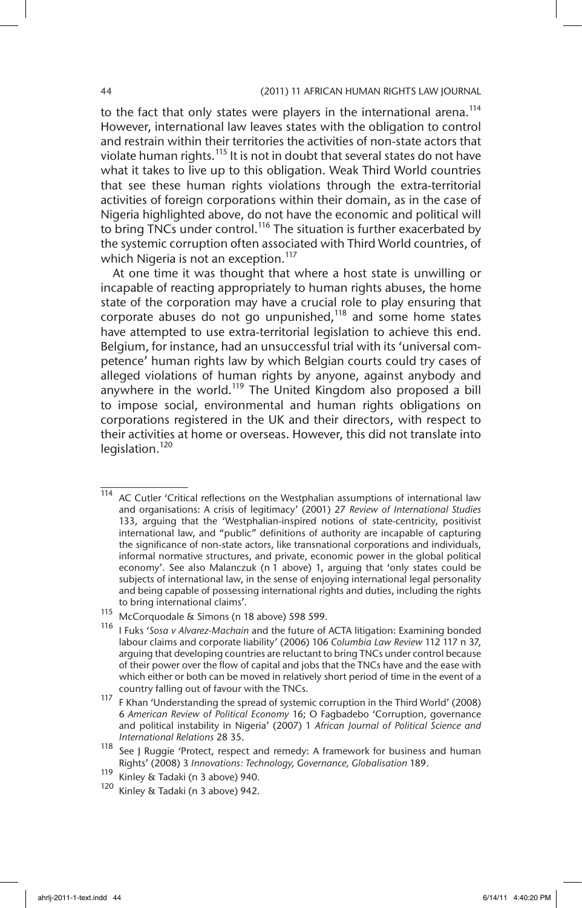to the fact that only states were players in the international arena.<sup>114</sup> However, international law leaves states with the obligation to control and restrain within their territories the activities of non-state actors that violate human rights.<sup>115</sup> It is not in doubt that several states do not have what it takes to live up to this obligation. Weak Third World countries that see these human rights violations through the extra-territorial activities of foreign corporations within their domain, as in the case of Nigeria highlighted above, do not have the economic and political will to bring TNCs under control.<sup>116</sup> The situation is further exacerbated by the systemic corruption often associated with Third World countries, of which Nigeria is not an exception.<sup>117</sup>

At one time it was thought that where a host state is unwilling or incapable of reacting appropriately to human rights abuses, the home state of the corporation may have a crucial role to play ensuring that corporate abuses do not go unpunished, $118$  and some home states have attempted to use extra-territorial legislation to achieve this end. Belgium, for instance, had an unsuccessful trial with its 'universal competence' human rights law by which Belgian courts could try cases of alleged violations of human rights by anyone, against anybody and anywhere in the world.<sup>119</sup> The United Kingdom also proposed a bill to impose social, environmental and human rights obligations on corporations registered in the UK and their directors, with respect to their activities at home or overseas. However, this did not translate into legislation.<sup>120</sup>

<sup>114</sup> AC Cutler 'Critical reflections on the Westphalian assumptions of international law and organisations: A crisis of legitimacy' (2001) 27 *Review of International Studies* 133, arguing that the 'Westphalian-inspired notions of state-centricity, positivist international law, and "public" definitions of authority are incapable of capturing the significance of non-state actors, like transnational corporations and individuals, informal normative structures, and private, economic power in the global political economy'. See also Malanczuk (n 1 above) 1, arguing that 'only states could be subjects of international law, in the sense of enjoying international legal personality and being capable of possessing international rights and duties, including the rights to bring international claims'.

<sup>115</sup> McCorquodale & Simons (n 18 above) 598 599.

<sup>116</sup> I Fuks '*Sosa v Alvarez-Machain* and the future of ACTA litigation: Examining bonded labour claims and corporate liability' (2006) 106 *Columbia Law Review* 112 117 n 37, arguing that developing countries are reluctant to bring TNCs under control because of their power over the flow of capital and jobs that the TNCs have and the ease with which either or both can be moved in relatively short period of time in the event of a country falling out of favour with the TNCs.

<sup>117</sup> F Khan 'Understanding the spread of systemic corruption in the Third World' (2008) 6 *American Review of Political Economy* 16; O Fagbadebo 'Corruption, governance and political instability in Nigeria' (2007) 1 *African Journal of Political Science and International Relations* 28 35.

<sup>&</sup>lt;sup>118</sup> See J Ruggie 'Protect, respect and remedy: A framework for business and human Rights' (2008) 3 *Innovations: Technology, Governance, Globalisation* 189.

 $\frac{119}{120}$  Kinley & Tadaki (n 3 above) 940.

Kinley & Tadaki (n 3 above) 942.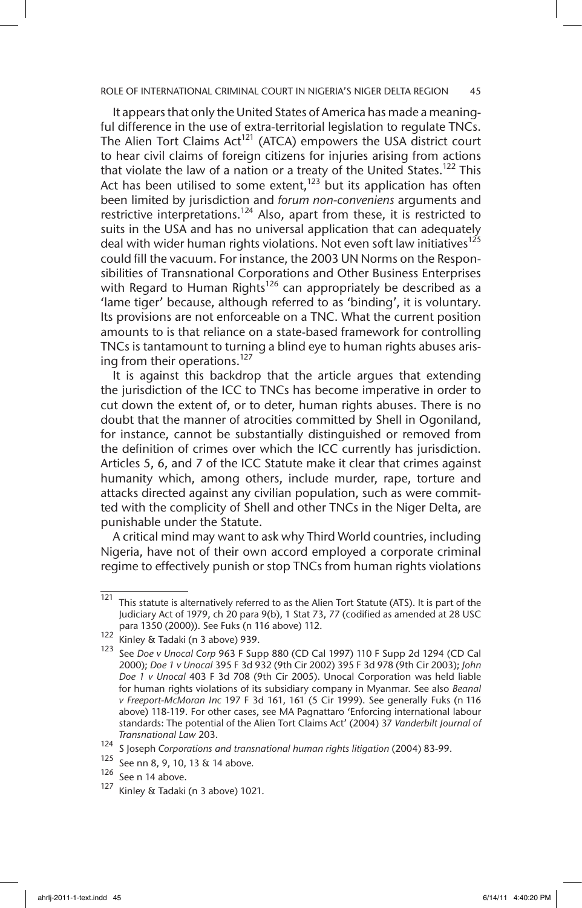It appears that only the United States of America has made a meaningful difference in the use of extra-territorial legislation to regulate TNCs. The Alien Tort Claims  $Act^{121}$  (ATCA) empowers the USA district court to hear civil claims of foreign citizens for injuries arising from actions that violate the law of a nation or a treaty of the United States.<sup>122</sup> This Act has been utilised to some extent,<sup>123</sup> but its application has often been limited by jurisdiction and *forum non-conveniens* arguments and restrictive interpretations.<sup>124</sup> Also, apart from these, it is restricted to suits in the USA and has no universal application that can adequately deal with wider human rights violations. Not even soft law initiatives<sup>125</sup> could fill the vacuum. For instance, the 2003 UN Norms on the Responsibilities of Transnational Corporations and Other Business Enterprises with Regard to Human Rights<sup>126</sup> can appropriately be described as a 'lame tiger' because, although referred to as 'binding', it is voluntary. Its provisions are not enforceable on a TNC. What the current position amounts to is that reliance on a state-based framework for controlling TNCs is tantamount to turning a blind eye to human rights abuses arising from their operations.<sup>127</sup>

It is against this backdrop that the article argues that extending the jurisdiction of the ICC to TNCs has become imperative in order to cut down the extent of, or to deter, human rights abuses. There is no doubt that the manner of atrocities committed by Shell in Ogoniland, for instance, cannot be substantially distinguished or removed from the definition of crimes over which the ICC currently has jurisdiction. Articles 5, 6, and 7 of the ICC Statute make it clear that crimes against humanity which, among others, include murder, rape, torture and attacks directed against any civilian population, such as were committed with the complicity of Shell and other TNCs in the Niger Delta, are punishable under the Statute.

A critical mind may want to ask why Third World countries, including Nigeria, have not of their own accord employed a corporate criminal regime to effectively punish or stop TNCs from human rights violations

 $\frac{121}{121}$  This statute is alternatively referred to as the Alien Tort Statute (ATS). It is part of the Judiciary Act of 1979, ch 20 para 9(b), 1 Stat 73, 77 (codified as amended at 28 USC para 1350 (2000)). See Fuks (n 116 above) 112.

<sup>122</sup> Kinley & Tadaki (n 3 above) 939.

<sup>123</sup> See *Doe v Unocal Corp* 963 F Supp 880 (CD Cal 1997) 110 F Supp 2d 1294 (CD Cal 2000); *Doe 1 v Unocal* 395 F 3d 932 (9th Cir 2002) 395 F 3d 978 (9th Cir 2003); *John Doe 1 v Unocal* 403 F 3d 708 (9th Cir 2005). Unocal Corporation was held liable for human rights violations of its subsidiary company in Myanmar. See also *Beanal v Freeport-McMoran Inc* 197 F 3d 161, 161 (5 Cir 1999). See generally Fuks (n 116 above) 118-119. For other cases, see MA Pagnattaro 'Enforcing international labour standards: The potential of the Alien Tort Claims Act' (2004) 37 *Vanderbilt Journal of Transnational Law* 203.

<sup>124</sup> S Joseph *Corporations and transnational human rights litigation* (2004) 83-99.

<sup>125</sup> See nn 8, 9, 10, 13 & 14 above*.*

 $\frac{126}{127}$  See n 14 above.

Kinley & Tadaki (n 3 above) 1021.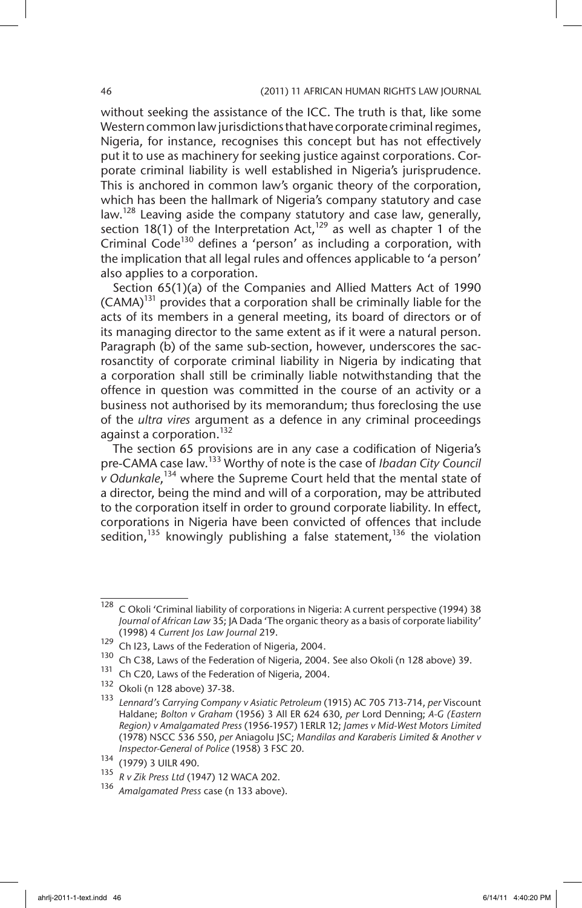without seeking the assistance of the ICC. The truth is that, like some Western common law jurisdictions that have corporate criminal regimes, Nigeria, for instance, recognises this concept but has not effectively put it to use as machinery for seeking justice against corporations. Corporate criminal liability is well established in Nigeria's jurisprudence. This is anchored in common law's organic theory of the corporation, which has been the hallmark of Nigeria's company statutory and case law.128 Leaving aside the company statutory and case law, generally, section 18(1) of the Interpretation Act,<sup>129</sup> as well as chapter 1 of the Criminal Code<sup>130</sup> defines a 'person' as including a corporation, with the implication that all legal rules and offences applicable to 'a person' also applies to a corporation.

Section 65(1)(a) of the Companies and Allied Matters Act of 1990  $(CAMA)^{131}$  provides that a corporation shall be criminally liable for the acts of its members in a general meeting, its board of directors or of its managing director to the same extent as if it were a natural person. Paragraph (b) of the same sub-section, however, underscores the sacrosanctity of corporate criminal liability in Nigeria by indicating that a corporation shall still be criminally liable notwithstanding that the offence in question was committed in the course of an activity or a business not authorised by its memorandum; thus foreclosing the use of the *ultra vires* argument as a defence in any criminal proceedings against a corporation.<sup>132</sup>

The section 65 provisions are in any case a codification of Nigeria's pre-CAMA case law.133 Worthy of note is the case of *Ibadan City Council v Odunkale*, 134 where the Supreme Court held that the mental state of a director, being the mind and will of a corporation, may be attributed to the corporation itself in order to ground corporate liability. In effect, corporations in Nigeria have been convicted of offences that include sedition,<sup>135</sup> knowingly publishing a false statement,<sup>136</sup> the violation

<sup>&</sup>lt;sup>128</sup> C Okoli 'Criminal liability of corporations in Nigeria: A current perspective (1994) 38 *Journal of African Law* 35; JA Dada 'The organic theory as a basis of corporate liability' (1998) 4 *Current Jos Law Journal* 219.

<sup>129</sup> Ch I23, Laws of the Federation of Nigeria, 2004.

<sup>&</sup>lt;sup>130</sup> Ch C38, Laws of the Federation of Nigeria, 2004. See also Okoli (n 128 above) 39.<br><sup>131</sup> Ch C30, Laws of the Eederation of Nigeria, 2004.

<sup>&</sup>lt;sup>131</sup> Ch C20, Laws of the Federation of Nigeria, 2004.<br><sup>132</sup> Okali (p. 128 above) <sup>27, 28</sup>

 $\frac{132}{133}$  Okoli (n 128 above) 37-38.

<sup>133</sup> *Lennard's Carrying Company v Asiatic Petroleum* (1915) AC 705 713-714, *per* Viscount Haldane; *Bolton v Graham* (1956) 3 All ER 624 630, *per* Lord Denning; *A-G (Eastern Region) v Amalgamated Press* (1956-1957) 1ERLR 12; *James v Mid-West Motors Limited* (1978) NSCC 536 550, *per* Aniagolu JSC; *Mandilas and Karaberis Limited & Another v Inspector-General of Police* (1958) 3 FSC 20.

 $\frac{134}{135}$  (1979) 3 UILR 490.

<sup>135</sup> *R v Zik Press Ltd* (1947) 12 WACA 202.

<sup>136</sup> *Amalgamated Press* case (n 133 above).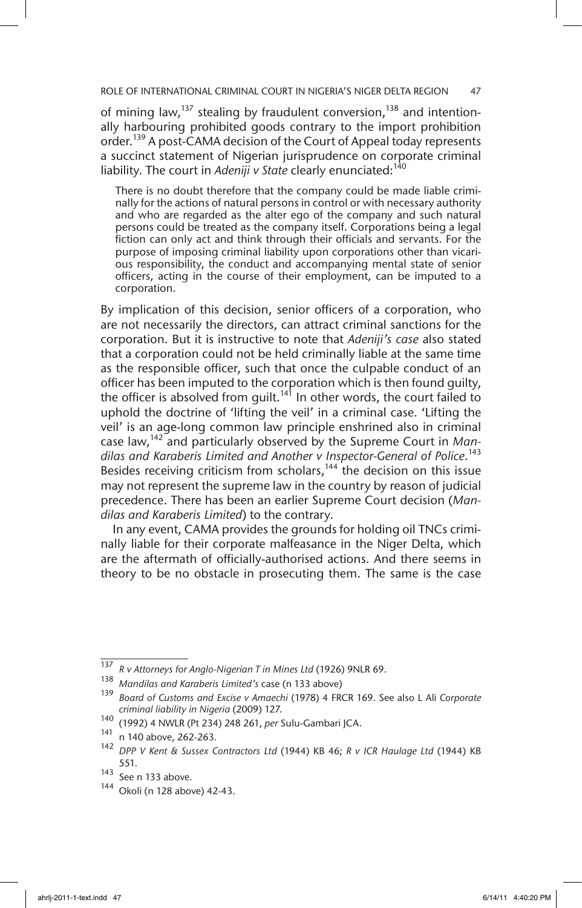ROLE OF INTERNATIONAL CRIMINAL COURT IN NIGERIA'S NIGER DELTA REGION 47

of mining law, $137$  stealing by fraudulent conversion,  $138$  and intentionally harbouring prohibited goods contrary to the import prohibition order.<sup>139</sup> A post-CAMA decision of the Court of Appeal today represents a succinct statement of Nigerian jurisprudence on corporate criminal liability. The court in *Adeniji v State* clearly enunciated:<sup>140</sup>

There is no doubt therefore that the company could be made liable criminally for the actions of natural persons in control or with necessary authority and who are regarded as the alter ego of the company and such natural persons could be treated as the company itself. Corporations being a legal fiction can only act and think through their officials and servants. For the purpose of imposing criminal liability upon corporations other than vicarious responsibility, the conduct and accompanying mental state of senior officers, acting in the course of their employment, can be imputed to a corporation.

By implication of this decision, senior officers of a corporation, who are not necessarily the directors, can attract criminal sanctions for the corporation. But it is instructive to note that *Adeniji's case* also stated that a corporation could not be held criminally liable at the same time as the responsible officer, such that once the culpable conduct of an officer has been imputed to the corporation which is then found guilty, the officer is absolved from guilt.<sup>141</sup> In other words, the court failed to uphold the doctrine of 'lifting the veil' in a criminal case. 'Lifting the veil' is an age-long common law principle enshrined also in criminal case law,142 and particularly observed by the Supreme Court in *Mandilas and Karaberis Limited and Another v Inspector-General of Police*. 143 Besides receiving criticism from scholars, $144$  the decision on this issue may not represent the supreme law in the country by reason of judicial precedence. There has been an earlier Supreme Court decision (*Mandilas and Karaberis Limited*) to the contrary.

In any event, CAMA provides the grounds for holding oil TNCs criminally liable for their corporate malfeasance in the Niger Delta, which are the aftermath of officially-authorised actions. And there seems in theory to be no obstacle in prosecuting them. The same is the case

<sup>137</sup> *R v Attorneys for Anglo-Nigerian T in Mines Ltd* (1926) 9NLR 69.

<sup>138</sup> *Mandilas and Karaberis Limited's* case (n 133 above)

<sup>139</sup> *Board of Customs and Excise v Amaechi* (1978) 4 FRCR 169. See also L Ali *Corporate criminal liability in Nigeria* (2009) 127.

<sup>140</sup> (1992) 4 NWLR (Pt 234) 248 261, *per* Sulu-Gambari JCA.

 $^{141}$  n 140 above, 262-263.

<sup>142</sup> *DPP V Kent & Sussex Contractors Ltd* (1944) KB 46; *R v ICR Haulage Ltd* (1944) KB 551.

<sup>143</sup> See n 133 above.

<sup>144</sup> Okoli (n 128 above) 42-43.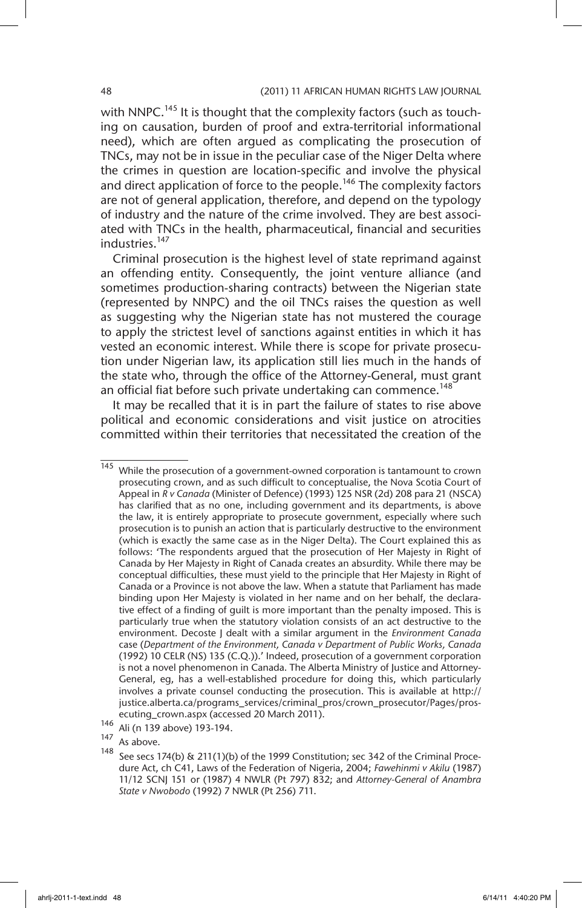with NNPC.<sup>145</sup> It is thought that the complexity factors (such as touching on causation, burden of proof and extra-territorial informational need), which are often argued as complicating the prosecution of TNCs, may not be in issue in the peculiar case of the Niger Delta where the crimes in question are location-specific and involve the physical and direct application of force to the people.<sup>146</sup> The complexity factors are not of general application, therefore, and depend on the typology of industry and the nature of the crime involved. They are best associated with TNCs in the health, pharmaceutical, financial and securities industries.<sup>147</sup>

Criminal prosecution is the highest level of state reprimand against an offending entity. Consequently, the joint venture alliance (and sometimes production-sharing contracts) between the Nigerian state (represented by NNPC) and the oil TNCs raises the question as well as suggesting why the Nigerian state has not mustered the courage to apply the strictest level of sanctions against entities in which it has vested an economic interest. While there is scope for private prosecution under Nigerian law, its application still lies much in the hands of the state who, through the office of the Attorney-General, must grant an official fiat before such private undertaking can commence.<sup>148</sup>

It may be recalled that it is in part the failure of states to rise above political and economic considerations and visit justice on atrocities committed within their territories that necessitated the creation of the

 $\frac{145}{145}$  While the prosecution of a government-owned corporation is tantamount to crown prosecuting crown, and as such difficult to conceptualise, the Nova Scotia Court of Appeal in *R v Canada* (Minister of Defence) (1993) 125 NSR (2d) 208 para 21 (NSCA) has clarified that as no one, including government and its departments, is above the law, it is entirely appropriate to prosecute government, especially where such prosecution is to punish an action that is particularly destructive to the environment (which is exactly the same case as in the Niger Delta). The Court explained this as follows: 'The respondents argued that the prosecution of Her Majesty in Right of Canada by Her Majesty in Right of Canada creates an absurdity. While there may be conceptual difficulties, these must yield to the principle that Her Majesty in Right of Canada or a Province is not above the law. When a statute that Parliament has made binding upon Her Majesty is violated in her name and on her behalf, the declarative effect of a finding of guilt is more important than the penalty imposed. This is particularly true when the statutory violation consists of an act destructive to the environment. Decoste J dealt with a similar argument in the *Environment Canada* case (*Department of the Environment, Canada v Department of Public Works, Canada*  (1992) 10 CELR (NS) 135 (C.Q.)).' Indeed, prosecution of a government corporation is not a novel phenomenon in Canada. The Alberta Ministry of Justice and Attorney-General, eg, has a well-established procedure for doing this, which particularly involves a private counsel conducting the prosecution. This is available at http:// justice.alberta.ca/programs\_services/criminal\_pros/crown\_prosecutor/Pages/prosecuting crown.aspx (accessed 20 March 2011).

 $146$  Ali (n 139 above) 193-194.

 $\frac{147}{148}$  As above.

See secs 174(b) & 211(1)(b) of the 1999 Constitution; sec 342 of the Criminal Procedure Act, ch C41, Laws of the Federation of Nigeria, 2004; *Fawehinmi v Akilu* (1987) 11/12 SCNJ 151 or (1987) 4 NWLR (Pt 797) 832; and *Attorney-General of Anambra State v Nwobodo* (1992) 7 NWLR (Pt 256) 711.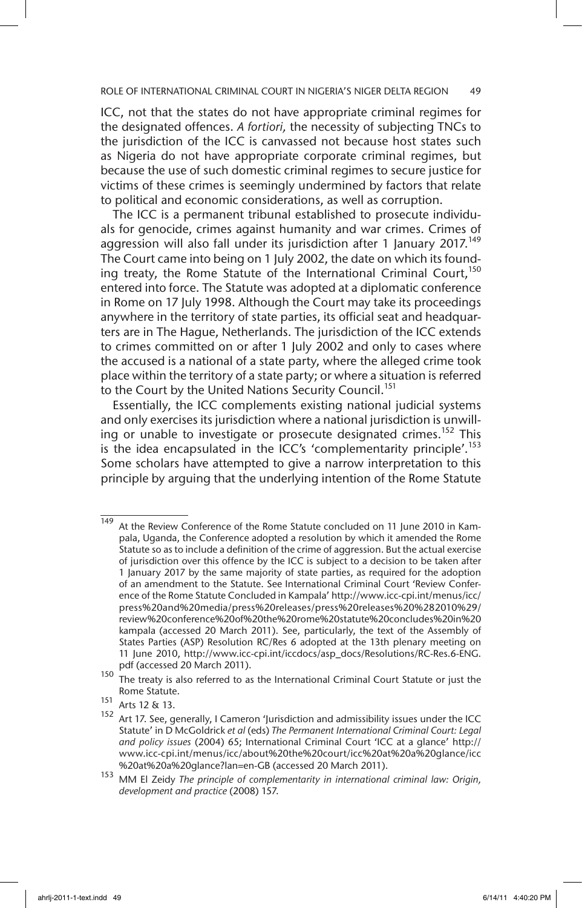ICC, not that the states do not have appropriate criminal regimes for the designated offences. *A fortiori,* the necessity of subjecting TNCs to the jurisdiction of the ICC is canvassed not because host states such as Nigeria do not have appropriate corporate criminal regimes, but because the use of such domestic criminal regimes to secure justice for victims of these crimes is seemingly undermined by factors that relate to political and economic considerations, as well as corruption.

The ICC is a permanent tribunal established to prosecute individuals for genocide, crimes against humanity and war crimes. Crimes of aggression will also fall under its jurisdiction after 1 January 2017.<sup>149</sup> The Court came into being on 1 July 2002, the date on which its founding treaty, the Rome Statute of the International Criminal Court,<sup>150</sup> entered into force. The Statute was adopted at a diplomatic conference in Rome on 17 July 1998. Although the Court may take its proceedings anywhere in the territory of state parties, its official seat and headquarters are in The Hague, Netherlands. The jurisdiction of the ICC extends to crimes committed on or after 1 July 2002 and only to cases where the accused is a national of a state party, where the alleged crime took place within the territory of a state party; or where a situation is referred to the Court by the United Nations Security Council.<sup>151</sup>

Essentially, the ICC complements existing national judicial systems and only exercises its jurisdiction where a national jurisdiction is unwilling or unable to investigate or prosecute designated crimes.<sup>152</sup> This is the idea encapsulated in the ICC's 'complementarity principle'.<sup>153</sup> Some scholars have attempted to give a narrow interpretation to this principle by arguing that the underlying intention of the Rome Statute

 $\frac{149}{149}$  At the Review Conference of the Rome Statute concluded on 11 June 2010 in Kampala, Uganda, the Conference adopted a resolution by which it amended the Rome Statute so as to include a definition of the crime of aggression. But the actual exercise of jurisdiction over this offence by the ICC is subject to a decision to be taken after 1 January 2017 by the same majority of state parties, as required for the adoption of an amendment to the Statute. See International Criminal Court 'Review Conference of the Rome Statute Concluded in Kampala' http://www.icc-cpi.int/menus/icc/ press%20and%20media/press%20releases/press%20releases%20%282010%29/ review%20conference%20of%20the%20rome%20statute%20concludes%20in%20 kampala (accessed 20 March 2011). See, particularly, the text of the Assembly of States Parties (ASP) Resolution RC/Res 6 adopted at the 13th plenary meeting on 11 June 2010, http://www.icc-cpi.int/iccdocs/asp\_docs/Resolutions/RC-Res.6-ENG. pdf (accessed 20 March 2011).

<sup>&</sup>lt;sup>150</sup> The treaty is also referred to as the International Criminal Court Statute or just the Rome Statute.

<sup>151</sup> Arts 12 & 13.

<sup>&</sup>lt;sup>152</sup> Art 17. See, generally, I Cameron 'Jurisdiction and admissibility issues under the ICC Statute' in D McGoldrick *et al* (eds) *The Permanent International Criminal Court: Legal and policy issues* (2004) 65; International Criminal Court 'ICC at a glance' http:// www.icc-cpi.int/menus/icc/about%20the%20court/icc%20at%20a%20glance/icc %20at%20a%20glance?lan=en-GB (accessed 20 March 2011).

<sup>153</sup> MM El Zeidy *The principle of complementarity in international criminal law: Origin, development and practice* (2008) 157.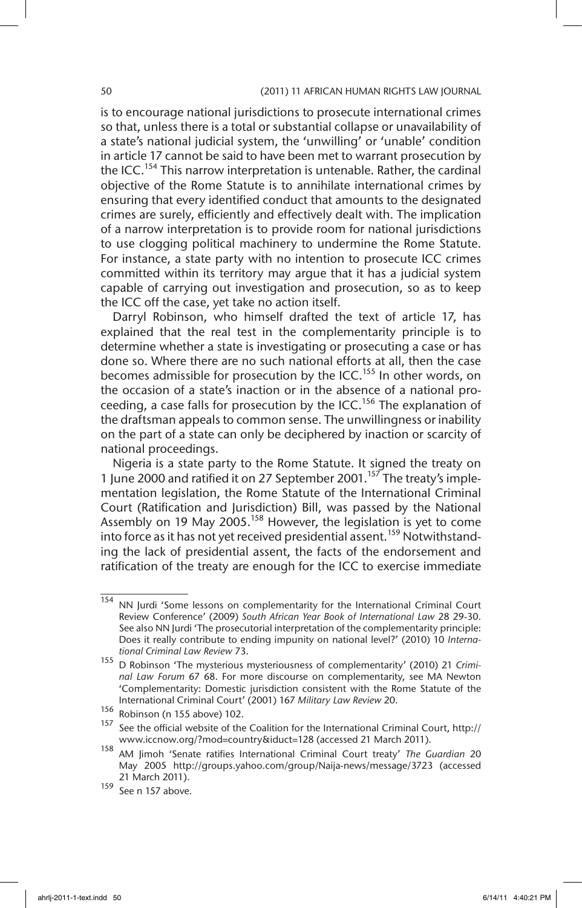is to encourage national jurisdictions to prosecute international crimes so that, unless there is a total or substantial collapse or unavailability of a state's national judicial system, the 'unwilling' or 'unable' condition in article 17 cannot be said to have been met to warrant prosecution by the ICC.154 This narrow interpretation is untenable. Rather, the cardinal objective of the Rome Statute is to annihilate international crimes by ensuring that every identified conduct that amounts to the designated crimes are surely, efficiently and effectively dealt with. The implication of a narrow interpretation is to provide room for national jurisdictions to use clogging political machinery to undermine the Rome Statute. For instance, a state party with no intention to prosecute ICC crimes committed within its territory may argue that it has a judicial system capable of carrying out investigation and prosecution, so as to keep the ICC off the case, yet take no action itself.

Darryl Robinson, who himself drafted the text of article 17, has explained that the real test in the complementarity principle is to determine whether a state is investigating or prosecuting a case or has done so. Where there are no such national efforts at all, then the case becomes admissible for prosecution by the ICC.<sup>155</sup> In other words, on the occasion of a state's inaction or in the absence of a national proceeding, a case falls for prosecution by the ICC.<sup>156</sup> The explanation of the draftsman appeals to common sense. The unwillingness or inability on the part of a state can only be deciphered by inaction or scarcity of national proceedings.

Nigeria is a state party to the Rome Statute. It signed the treaty on 1 June 2000 and ratified it on 27 September 2001.<sup>157</sup> The treaty's implementation legislation, the Rome Statute of the International Criminal Court (Ratification and Jurisdiction) Bill, was passed by the National Assembly on 19 May 2005.<sup>158</sup> However, the legislation is yet to come into force as it has not yet received presidential assent.159 Notwithstanding the lack of presidential assent, the facts of the endorsement and ratification of the treaty are enough for the ICC to exercise immediate

<sup>154</sup> NN Jurdi 'Some lessons on complementarity for the International Criminal Court Review Conference' (2009) *South African Year Book of International Law* 28 29-30. See also NN Jurdi 'The prosecutorial interpretation of the complementarity principle: Does it really contribute to ending impunity on national level?' (2010) 10 *International Criminal Law Review* 73.

<sup>155</sup> D Robinson 'The mysterious mysteriousness of complementarity' (2010) 21 *Criminal Law Forum* 67 68. For more discourse on complementarity, see MA Newton 'Complementarity: Domestic jurisdiction consistent with the Rome Statute of the International Criminal Court' (2001) 167 *Military Law Review* 20.

 $\frac{156}{157}$  Robinson (n 155 above) 102.

<sup>157</sup> See the official website of the Coalition for the International Criminal Court, http:// www.iccnow.org/?mod=country&iduct=128 (accessed 21 March 2011).

<sup>158</sup> AM Jimoh 'Senate ratifies International Criminal Court treaty' *The Guardian* 20 May 2005 http://groups.yahoo.com/group/Naija-news/message/3723 (accessed 21 March 2011).

<sup>159</sup> See n 157 above.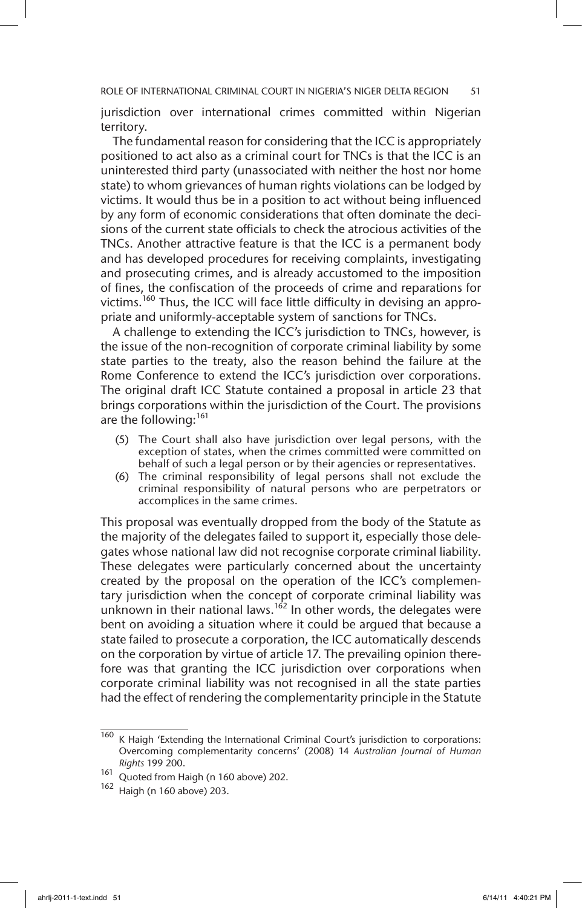ROLE OF INTERNATIONAL CRIMINAL COURT IN NIGERIA'S NIGER DELTA REGION 51

jurisdiction over international crimes committed within Nigerian territory.

The fundamental reason for considering that the ICC is appropriately positioned to act also as a criminal court for TNCs is that the ICC is an uninterested third party (unassociated with neither the host nor home state) to whom grievances of human rights violations can be lodged by victims. It would thus be in a position to act without being influenced by any form of economic considerations that often dominate the decisions of the current state officials to check the atrocious activities of the TNCs. Another attractive feature is that the ICC is a permanent body and has developed procedures for receiving complaints, investigating and prosecuting crimes, and is already accustomed to the imposition of fines, the confiscation of the proceeds of crime and reparations for victims.<sup>160</sup> Thus, the ICC will face little difficulty in devising an appropriate and uniformly-acceptable system of sanctions for TNCs.

A challenge to extending the ICC's jurisdiction to TNCs, however, is the issue of the non-recognition of corporate criminal liability by some state parties to the treaty, also the reason behind the failure at the Rome Conference to extend the ICC's jurisdiction over corporations. The original draft ICC Statute contained a proposal in article 23 that brings corporations within the jurisdiction of the Court. The provisions are the following: $161$ 

- (5) The Court shall also have jurisdiction over legal persons, with the exception of states, when the crimes committed were committed on behalf of such a legal person or by their agencies or representatives.
- (6) The criminal responsibility of legal persons shall not exclude the criminal responsibility of natural persons who are perpetrators or accomplices in the same crimes.

This proposal was eventually dropped from the body of the Statute as the majority of the delegates failed to support it, especially those delegates whose national law did not recognise corporate criminal liability. These delegates were particularly concerned about the uncertainty created by the proposal on the operation of the ICC's complementary jurisdiction when the concept of corporate criminal liability was unknown in their national laws.<sup>162</sup> In other words, the delegates were bent on avoiding a situation where it could be argued that because a state failed to prosecute a corporation, the ICC automatically descends on the corporation by virtue of article 17. The prevailing opinion therefore was that granting the ICC jurisdiction over corporations when corporate criminal liability was not recognised in all the state parties had the effect of rendering the complementarity principle in the Statute

 $\frac{160}{160}$  K Haigh 'Extending the International Criminal Court's jurisdiction to corporations: Overcoming complementarity concerns' (2008) 14 *Australian Journal of Human Rights* 199 200.

<sup>161</sup> Quoted from Haigh (n 160 above) 202.

<sup>162</sup> Haigh (n 160 above) 203.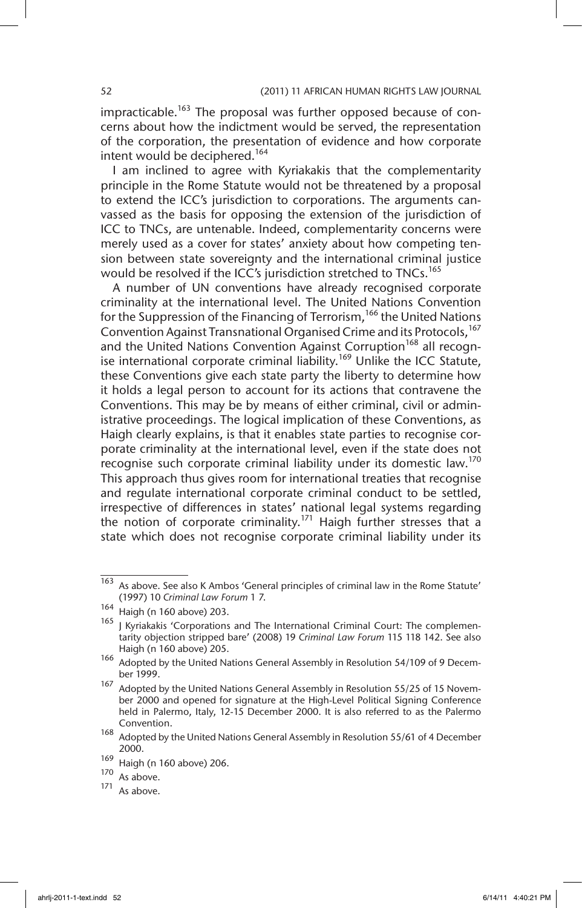$impracticable.<sup>163</sup>$  The proposal was further opposed because of concerns about how the indictment would be served, the representation of the corporation, the presentation of evidence and how corporate intent would be deciphered.<sup>164</sup>

I am inclined to agree with Kyriakakis that the complementarity principle in the Rome Statute would not be threatened by a proposal to extend the ICC's jurisdiction to corporations. The arguments canvassed as the basis for opposing the extension of the jurisdiction of ICC to TNCs, are untenable. Indeed, complementarity concerns were merely used as a cover for states' anxiety about how competing tension between state sovereignty and the international criminal justice would be resolved if the ICC's jurisdiction stretched to TNCs.<sup>165</sup>

A number of UN conventions have already recognised corporate criminality at the international level. The United Nations Convention for the Suppression of the Financing of Terrorism,<sup>166</sup> the United Nations Convention Against Transnational Organised Crime and its Protocols,<sup>167</sup> and the United Nations Convention Against Corruption<sup>168</sup> all recognise international corporate criminal liability.<sup>169</sup> Unlike the ICC Statute, these Conventions give each state party the liberty to determine how it holds a legal person to account for its actions that contravene the Conventions. This may be by means of either criminal, civil or administrative proceedings. The logical implication of these Conventions, as Haigh clearly explains, is that it enables state parties to recognise corporate criminality at the international level, even if the state does not recognise such corporate criminal liability under its domestic law.<sup>170</sup> This approach thus gives room for international treaties that recognise and regulate international corporate criminal conduct to be settled, irrespective of differences in states' national legal systems regarding the notion of corporate criminality.<sup>171</sup> Haigh further stresses that a state which does not recognise corporate criminal liability under its

 $\frac{163}{163}$  As above. See also K Ambos 'General principles of criminal law in the Rome Statute' (1997) 10 *Criminal Law Forum* 1 7.

 $\frac{164}{165}$  Haigh (n 160 above) 203.

<sup>1</sup> Kyriakakis 'Corporations and The International Criminal Court: The complementarity objection stripped bare' (2008) 19 *Criminal Law Forum* 115 118 142. See also Haigh (n 160 above) 205.

<sup>166</sup> Adopted by the United Nations General Assembly in Resolution 54/109 of 9 December 1999.

<sup>&</sup>lt;sup>167</sup> Adopted by the United Nations General Assembly in Resolution 55/25 of 15 November 2000 and opened for signature at the High-Level Political Signing Conference held in Palermo, Italy, 12-15 December 2000. It is also referred to as the Palermo Convention.

<sup>168</sup> Adopted by the United Nations General Assembly in Resolution 55/61 of 4 December 2000.

 $\frac{169}{170}$  Haigh (n 160 above) 206.

 $\frac{170}{171}$  As above.

As above.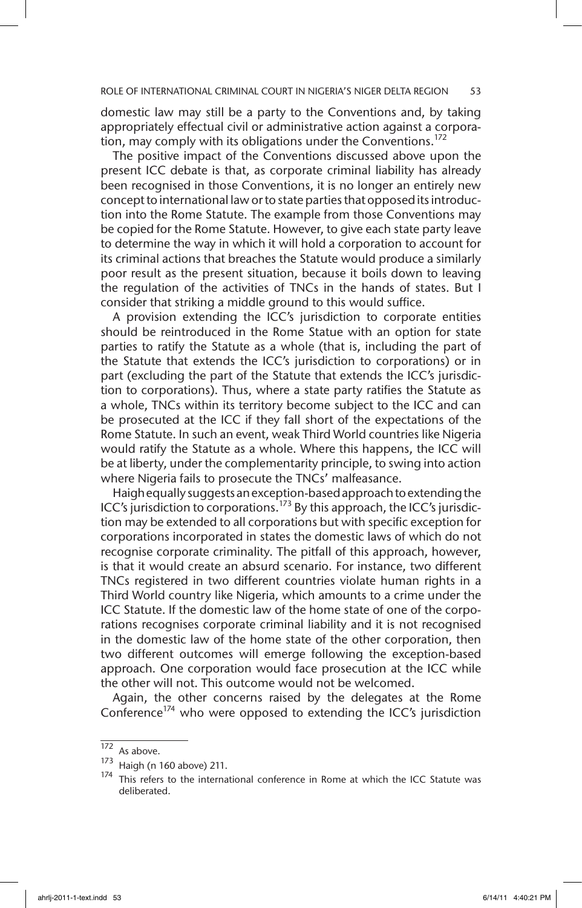domestic law may still be a party to the Conventions and, by taking appropriately effectual civil or administrative action against a corporation, may comply with its obligations under the Conventions.<sup>172</sup>

The positive impact of the Conventions discussed above upon the present ICC debate is that, as corporate criminal liability has already been recognised in those Conventions, it is no longer an entirely new concept to international law or to state parties that opposed its introduction into the Rome Statute. The example from those Conventions may be copied for the Rome Statute. However, to give each state party leave to determine the way in which it will hold a corporation to account for its criminal actions that breaches the Statute would produce a similarly poor result as the present situation, because it boils down to leaving the regulation of the activities of TNCs in the hands of states. But I consider that striking a middle ground to this would suffice.

A provision extending the ICC's jurisdiction to corporate entities should be reintroduced in the Rome Statue with an option for state parties to ratify the Statute as a whole (that is, including the part of the Statute that extends the ICC's jurisdiction to corporations) or in part (excluding the part of the Statute that extends the ICC's jurisdiction to corporations). Thus, where a state party ratifies the Statute as a whole, TNCs within its territory become subject to the ICC and can be prosecuted at the ICC if they fall short of the expectations of the Rome Statute. In such an event, weak Third World countries like Nigeria would ratify the Statute as a whole. Where this happens, the ICC will be at liberty, under the complementarity principle, to swing into action where Nigeria fails to prosecute the TNCs' malfeasance.

Haigh equally suggests an exception-based approach to extending the ICC's jurisdiction to corporations.<sup>173</sup> By this approach, the ICC's jurisdiction may be extended to all corporations but with specific exception for corporations incorporated in states the domestic laws of which do not recognise corporate criminality. The pitfall of this approach, however, is that it would create an absurd scenario. For instance, two different TNCs registered in two different countries violate human rights in a Third World country like Nigeria, which amounts to a crime under the ICC Statute. If the domestic law of the home state of one of the corporations recognises corporate criminal liability and it is not recognised in the domestic law of the home state of the other corporation, then two different outcomes will emerge following the exception-based approach. One corporation would face prosecution at the ICC while the other will not. This outcome would not be welcomed.

Again, the other concerns raised by the delegates at the Rome Conference<sup>174</sup> who were opposed to extending the ICC's jurisdiction

 $\overline{172}$  As above.

<sup>173</sup> Haigh (n 160 above) 211.

<sup>174</sup> This refers to the international conference in Rome at which the ICC Statute was deliberated.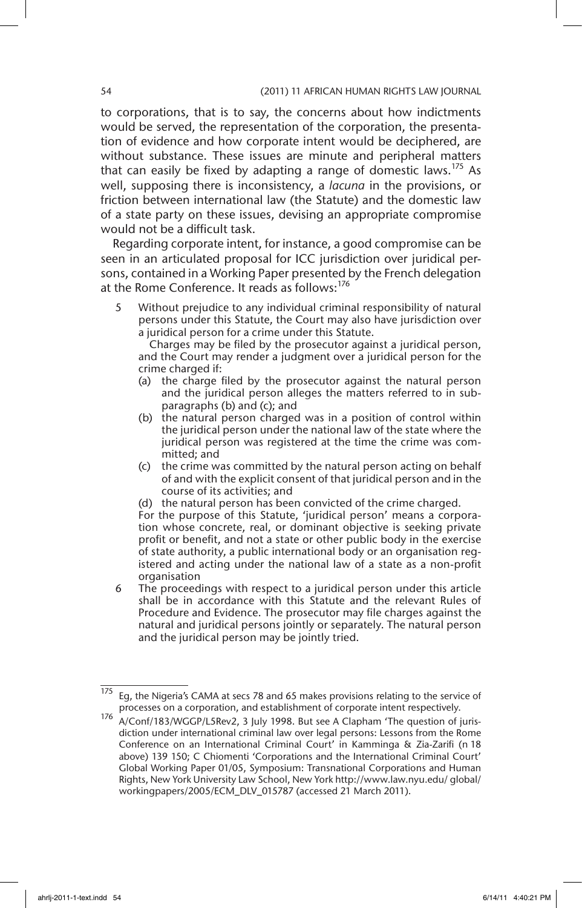to corporations, that is to say, the concerns about how indictments would be served, the representation of the corporation, the presentation of evidence and how corporate intent would be deciphered, are without substance. These issues are minute and peripheral matters that can easily be fixed by adapting a range of domestic laws.<sup>175</sup> As well, supposing there is inconsistency, a *lacuna* in the provisions, or friction between international law (the Statute) and the domestic law of a state party on these issues, devising an appropriate compromise would not be a difficult task.

Regarding corporate intent, for instance, a good compromise can be seen in an articulated proposal for ICC jurisdiction over juridical persons, contained in a Working Paper presented by the French delegation at the Rome Conference. It reads as follows: $176$ 

5 Without prejudice to any individual criminal responsibility of natural persons under this Statute, the Court may also have jurisdiction over a juridical person for a crime under this Statute.

 Charges may be filed by the prosecutor against a juridical person, and the Court may render a judgment over a juridical person for the crime charged if:

- (a) the charge filed by the prosecutor against the natural person and the juridical person alleges the matters referred to in subparagraphs (b) and (c); and
- (b) the natural person charged was in a position of control within the juridical person under the national law of the state where the juridical person was registered at the time the crime was committed; and
- (c) the crime was committed by the natural person acting on behalf of and with the explicit consent of that juridical person and in the course of its activities; and
- (d) the natural person has been convicted of the crime charged.

For the purpose of this Statute, 'juridical person' means a corporation whose concrete, real, or dominant objective is seeking private profit or benefit, and not a state or other public body in the exercise of state authority, a public international body or an organisation registered and acting under the national law of a state as a non-profit organisation

6 The proceedings with respect to a juridical person under this article shall be in accordance with this Statute and the relevant Rules of Procedure and Evidence. The prosecutor may file charges against the natural and juridical persons jointly or separately. The natural person and the juridical person may be jointly tried.

<sup>&</sup>lt;sup>175</sup> Eg, the Nigeria's CAMA at secs 78 and 65 makes provisions relating to the service of processes on a corporation, and establishment of corporate intent respectively.

A/Conf/183/WGGP/L5Rev2, 3 July 1998. But see A Clapham 'The question of jurisdiction under international criminal law over legal persons: Lessons from the Rome Conference on an International Criminal Court' in Kamminga & Zia-Zarifi (n 18 above) 139 150; C Chiomenti 'Corporations and the International Criminal Court' Global Working Paper 01/05, Symposium: Transnational Corporations and Human Rights, New York University Law School, New York http://www.law.nyu.edu/ global/ workingpapers/2005/ECM\_DLV\_015787 (accessed 21 March 2011).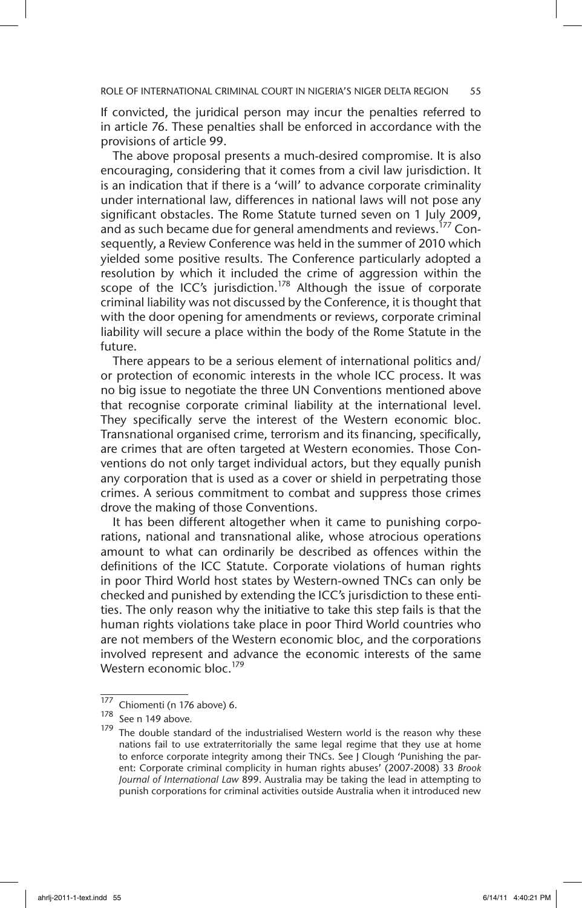If convicted, the juridical person may incur the penalties referred to in article 76. These penalties shall be enforced in accordance with the provisions of article 99.

The above proposal presents a much-desired compromise. It is also encouraging, considering that it comes from a civil law jurisdiction. It is an indication that if there is a 'will' to advance corporate criminality under international law, differences in national laws will not pose any significant obstacles. The Rome Statute turned seven on 1 July 2009, and as such became due for general amendments and reviews.<sup>177</sup> Consequently, a Review Conference was held in the summer of 2010 which yielded some positive results. The Conference particularly adopted a resolution by which it included the crime of aggression within the scope of the ICC's jurisdiction.<sup>178</sup> Although the issue of corporate criminal liability was not discussed by the Conference, it is thought that with the door opening for amendments or reviews, corporate criminal liability will secure a place within the body of the Rome Statute in the future.

There appears to be a serious element of international politics and/ or protection of economic interests in the whole ICC process. It was no big issue to negotiate the three UN Conventions mentioned above that recognise corporate criminal liability at the international level. They specifically serve the interest of the Western economic bloc. Transnational organised crime, terrorism and its financing, specifically, are crimes that are often targeted at Western economies. Those Conventions do not only target individual actors, but they equally punish any corporation that is used as a cover or shield in perpetrating those crimes. A serious commitment to combat and suppress those crimes drove the making of those Conventions.

It has been different altogether when it came to punishing corporations, national and transnational alike, whose atrocious operations amount to what can ordinarily be described as offences within the definitions of the ICC Statute. Corporate violations of human rights in poor Third World host states by Western-owned TNCs can only be checked and punished by extending the ICC's jurisdiction to these entities. The only reason why the initiative to take this step fails is that the human rights violations take place in poor Third World countries who are not members of the Western economic bloc, and the corporations involved represent and advance the economic interests of the same Western economic bloc.<sup>179</sup>

 $\frac{177}{178}$  Chiomenti (n 176 above) 6.

See n 149 above.

 $179$  The double standard of the industrialised Western world is the reason why these nations fail to use extraterritorially the same legal regime that they use at home to enforce corporate integrity among their TNCs. See J Clough 'Punishing the parent: Corporate criminal complicity in human rights abuses' (2007-2008) 33 *Brook Journal of International Law* 899. Australia may be taking the lead in attempting to punish corporations for criminal activities outside Australia when it introduced new